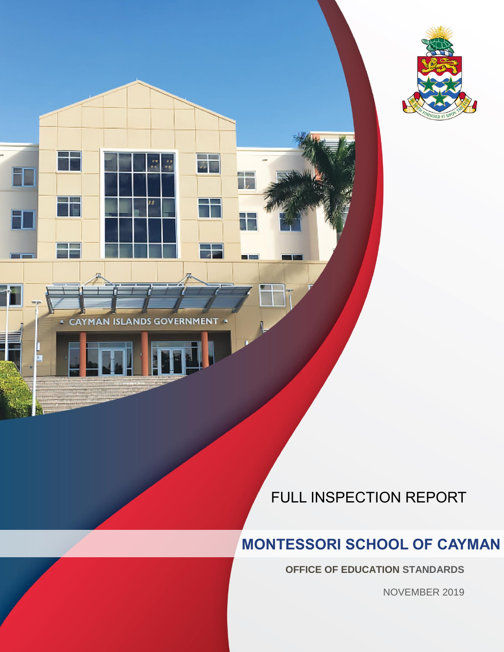

CA) **MAN ISLAN** GO Iп **ERN IENT** 

 $\mathsf H$ 

FULL INSPECTION REPORT

### **MONTESSORI SCHOOL OF CAYMAN**

INSPECTION REPORT | MONTESSORI SCHOOL OF CAYMAN | NOVEMBER 2019 1

B

**OFFICE OF EDUCATION STANDARDS**

NOVEMBER 2019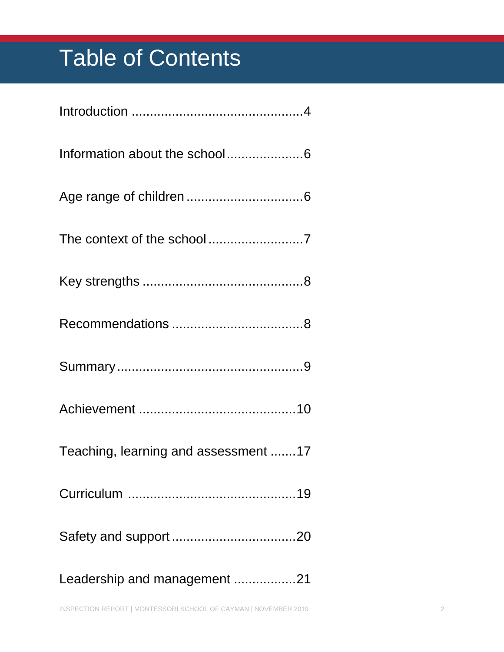# Table of Contents

| Teaching, learning and assessment 17 |
|--------------------------------------|
|                                      |
|                                      |
| Leadership and management 21         |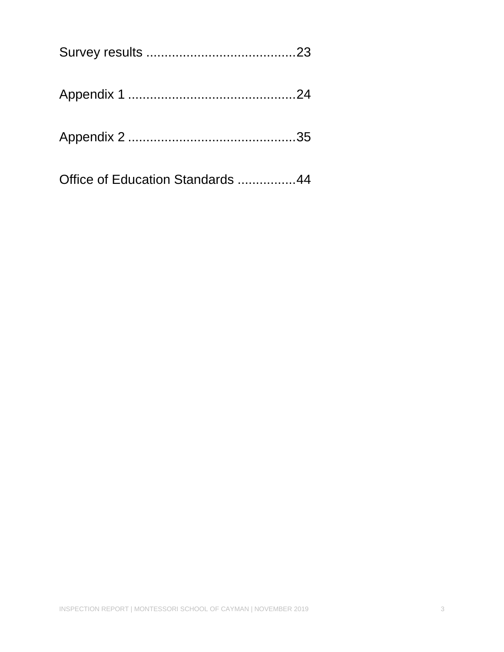| Office of Education Standards 44 |  |
|----------------------------------|--|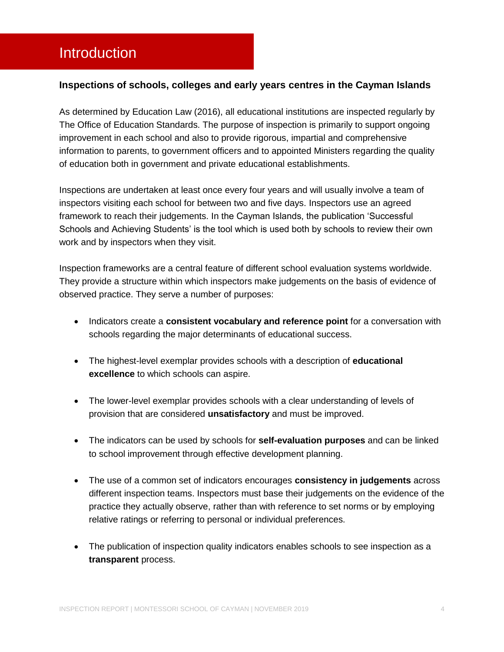### <span id="page-3-0"></span>Introduction

#### **Inspections of schools, colleges and early years centres in the Cayman Islands**

As determined by Education Law (2016), all educational institutions are inspected regularly by The Office of Education Standards. The purpose of inspection is primarily to support ongoing improvement in each school and also to provide rigorous, impartial and comprehensive information to parents, to government officers and to appointed Ministers regarding the quality of education both in government and private educational establishments.

Inspections are undertaken at least once every four years and will usually involve a team of inspectors visiting each school for between two and five days. Inspectors use an agreed framework to reach their judgements. In the Cayman Islands, the publication 'Successful Schools and Achieving Students' is the tool which is used both by schools to review their own work and by inspectors when they visit.

Inspection frameworks are a central feature of different school evaluation systems worldwide. They provide a structure within which inspectors make judgements on the basis of evidence of observed practice. They serve a number of purposes:

- **Indicators create a consistent vocabulary and reference point for a conversation with** schools regarding the major determinants of educational success.
- The highest-level exemplar provides schools with a description of **educational excellence** to which schools can aspire.
- The lower-level exemplar provides schools with a clear understanding of levels of provision that are considered **unsatisfactory** and must be improved.
- The indicators can be used by schools for **self-evaluation purposes** and can be linked to school improvement through effective development planning.
- The use of a common set of indicators encourages **consistency in judgements** across different inspection teams. Inspectors must base their judgements on the evidence of the practice they actually observe, rather than with reference to set norms or by employing relative ratings or referring to personal or individual preferences.
- The publication of inspection quality indicators enables schools to see inspection as a **transparent** process.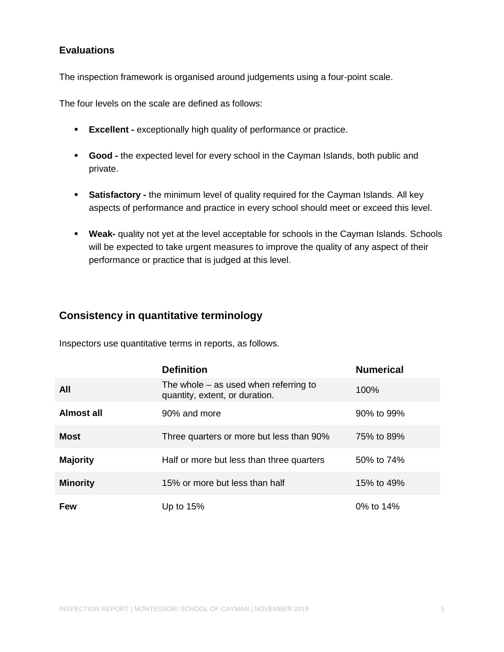#### **Evaluations**

The inspection framework is organised around judgements using a four-point scale.

The four levels on the scale are defined as follows:

- **Excellent -** exceptionally high quality of performance or practice.
- **Good -** the expected level for every school in the Cayman Islands, both public and private.
- **Satisfactory -** the minimum level of quality required for the Cayman Islands. All key aspects of performance and practice in every school should meet or exceed this level.
- **Weak-** quality not yet at the level acceptable for schools in the Cayman Islands. Schools will be expected to take urgent measures to improve the quality of any aspect of their performance or practice that is judged at this level.

#### **Consistency in quantitative terminology**

Inspectors use quantitative terms in reports, as follows.

|                 | <b>Definition</b>                                                         | <b>Numerical</b> |
|-----------------|---------------------------------------------------------------------------|------------------|
| <b>All</b>      | The whole $-$ as used when referring to<br>quantity, extent, or duration. | 100%             |
| Almost all      | 90% and more                                                              | 90% to 99%       |
| <b>Most</b>     | Three quarters or more but less than 90%                                  | 75% to 89%       |
| <b>Majority</b> | Half or more but less than three quarters                                 | 50% to 74%       |
| <b>Minority</b> | 15% or more but less than half                                            | 15% to 49%       |
| <b>Few</b>      | Up to $15%$                                                               | 0% to 14%        |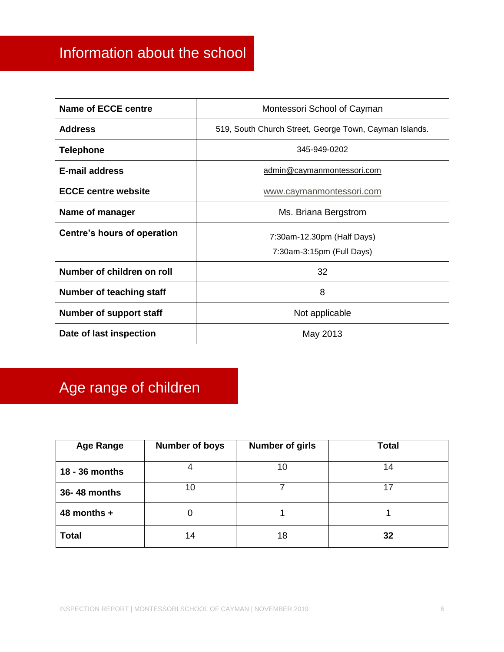### <span id="page-5-0"></span>Information about the school

| <b>Name of ECCE centre</b>  | Montessori School of Cayman                            |
|-----------------------------|--------------------------------------------------------|
| <b>Address</b>              | 519, South Church Street, George Town, Cayman Islands. |
| Telephone                   | 345-949-0202                                           |
| <b>E-mail address</b>       | admin@caymanmontessori.com                             |
| <b>ECCE centre website</b>  | www.caymanmontessori.com                               |
| Name of manager             | Ms. Briana Bergstrom                                   |
| Centre's hours of operation | 7:30am-12.30pm (Half Days)                             |
|                             | 7:30am-3:15pm (Full Days)                              |
| Number of children on roll  | 32                                                     |
| Number of teaching staff    | 8                                                      |
| Number of support staff     | Not applicable                                         |
| Date of last inspection     | May 2013                                               |

## <span id="page-5-1"></span>Age range of children

| <b>Age Range</b> | <b>Number of boys</b> | <b>Number of girls</b> | <b>Total</b> |
|------------------|-----------------------|------------------------|--------------|
| 18 - 36 months   |                       | 10                     | 14           |
| 36-48 months     | 10                    |                        | 17           |
| 48 months $+$    |                       |                        |              |
| <b>Total</b>     | 14                    | 18                     | 32           |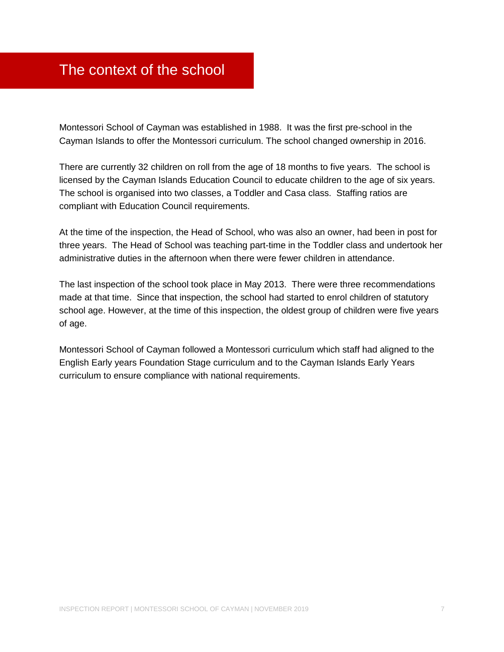### <span id="page-6-0"></span>The context of the school

Montessori School of Cayman was established in 1988. It was the first pre-school in the Cayman Islands to offer the Montessori curriculum. The school changed ownership in 2016.

There are currently 32 children on roll from the age of 18 months to five years. The school is licensed by the Cayman Islands Education Council to educate children to the age of six years. The school is organised into two classes, a Toddler and Casa class. Staffing ratios are compliant with Education Council requirements.

At the time of the inspection, the Head of School, who was also an owner, had been in post for three years. The Head of School was teaching part-time in the Toddler class and undertook her administrative duties in the afternoon when there were fewer children in attendance.

The last inspection of the school took place in May 2013. There were three recommendations made at that time. Since that inspection, the school had started to enrol children of statutory school age. However, at the time of this inspection, the oldest group of children were five years of age.

Montessori School of Cayman followed a Montessori curriculum which staff had aligned to the English Early years Foundation Stage curriculum and to the Cayman Islands Early Years curriculum to ensure compliance with national requirements.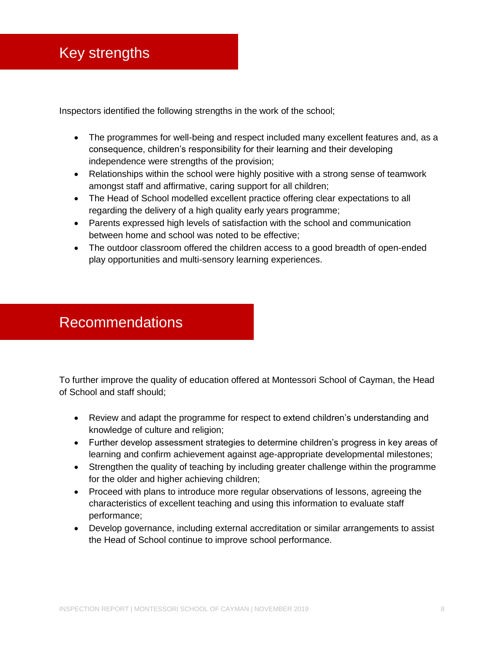<span id="page-7-0"></span>Inspectors identified the following strengths in the work of the school;

- The programmes for well-being and respect included many excellent features and, as a consequence, children's responsibility for their learning and their developing independence were strengths of the provision;
- Relationships within the school were highly positive with a strong sense of teamwork amongst staff and affirmative, caring support for all children;
- The Head of School modelled excellent practice offering clear expectations to all regarding the delivery of a high quality early years programme;
- Parents expressed high levels of satisfaction with the school and communication between home and school was noted to be effective;
- The outdoor classroom offered the children access to a good breadth of open-ended play opportunities and multi-sensory learning experiences.

### <span id="page-7-1"></span>Recommendations

To further improve the quality of education offered at Montessori School of Cayman, the Head of School and staff should;

- Review and adapt the programme for respect to extend children's understanding and knowledge of culture and religion;
- Further develop assessment strategies to determine children's progress in key areas of learning and confirm achievement against age-appropriate developmental milestones;
- Strengthen the quality of teaching by including greater challenge within the programme for the older and higher achieving children;
- Proceed with plans to introduce more regular observations of lessons, agreeing the characteristics of excellent teaching and using this information to evaluate staff performance;
- Develop governance, including external accreditation or similar arrangements to assist the Head of School continue to improve school performance.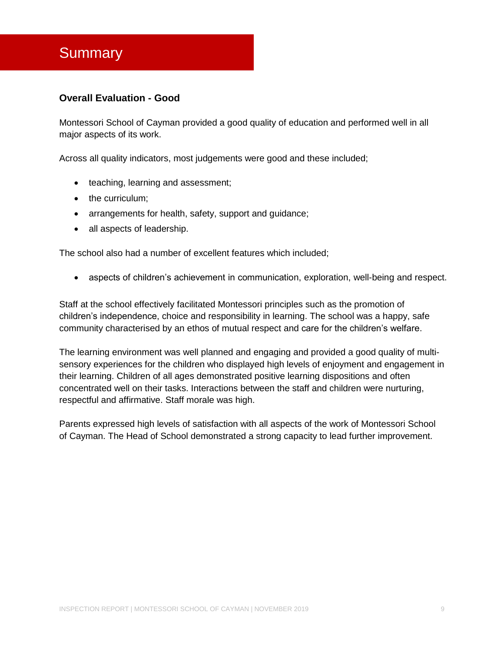### <span id="page-8-0"></span>**Summary**

#### **Overall Evaluation - Good**

Montessori School of Cayman provided a good quality of education and performed well in all major aspects of its work.

Across all quality indicators, most judgements were good and these included;

- teaching, learning and assessment;
- the curriculum;
- arrangements for health, safety, support and quidance;
- all aspects of leadership.

The school also had a number of excellent features which included;

aspects of children's achievement in communication, exploration, well-being and respect.

Staff at the school effectively facilitated Montessori principles such as the promotion of children's independence, choice and responsibility in learning. The school was a happy, safe community characterised by an ethos of mutual respect and care for the children's welfare.

The learning environment was well planned and engaging and provided a good quality of multisensory experiences for the children who displayed high levels of enjoyment and engagement in their learning. Children of all ages demonstrated positive learning dispositions and often concentrated well on their tasks. Interactions between the staff and children were nurturing, respectful and affirmative. Staff morale was high.

Parents expressed high levels of satisfaction with all aspects of the work of Montessori School of Cayman. The Head of School demonstrated a strong capacity to lead further improvement.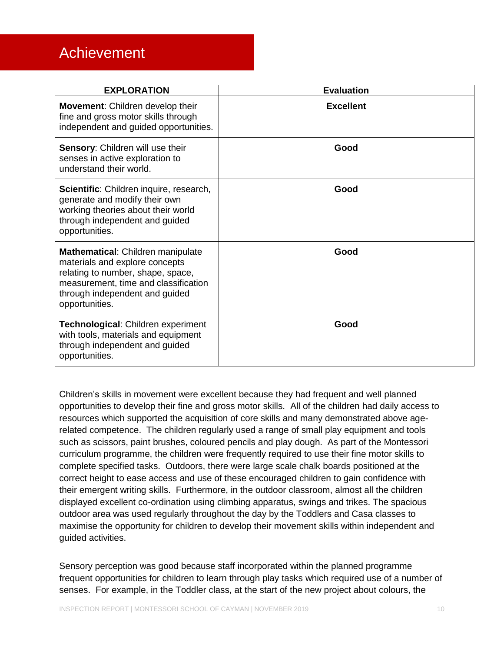### <span id="page-9-0"></span>Achievement

| <b>EXPLORATION</b>                                                                                                                                                                                   | <b>Evaluation</b> |
|------------------------------------------------------------------------------------------------------------------------------------------------------------------------------------------------------|-------------------|
| Movement: Children develop their<br>fine and gross motor skills through<br>independent and guided opportunities.                                                                                     | <b>Excellent</b>  |
| Sensory: Children will use their<br>senses in active exploration to<br>understand their world.                                                                                                       | Good              |
| Scientific: Children inquire, research,<br>generate and modify their own<br>working theories about their world<br>through independent and guided<br>opportunities.                                   | Good              |
| Mathematical: Children manipulate<br>materials and explore concepts<br>relating to number, shape, space,<br>measurement, time and classification<br>through independent and guided<br>opportunities. | Good              |
| Technological: Children experiment<br>with tools, materials and equipment<br>through independent and guided<br>opportunities.                                                                        | Good              |

Children's skills in movement were excellent because they had frequent and well planned opportunities to develop their fine and gross motor skills. All of the children had daily access to resources which supported the acquisition of core skills and many demonstrated above agerelated competence. The children regularly used a range of small play equipment and tools such as scissors, paint brushes, coloured pencils and play dough. As part of the Montessori curriculum programme, the children were frequently required to use their fine motor skills to complete specified tasks. Outdoors, there were large scale chalk boards positioned at the correct height to ease access and use of these encouraged children to gain confidence with their emergent writing skills. Furthermore, in the outdoor classroom, almost all the children displayed excellent co-ordination using climbing apparatus, swings and trikes. The spacious outdoor area was used regularly throughout the day by the Toddlers and Casa classes to maximise the opportunity for children to develop their movement skills within independent and guided activities.

Sensory perception was good because staff incorporated within the planned programme frequent opportunities for children to learn through play tasks which required use of a number of senses. For example, in the Toddler class, at the start of the new project about colours, the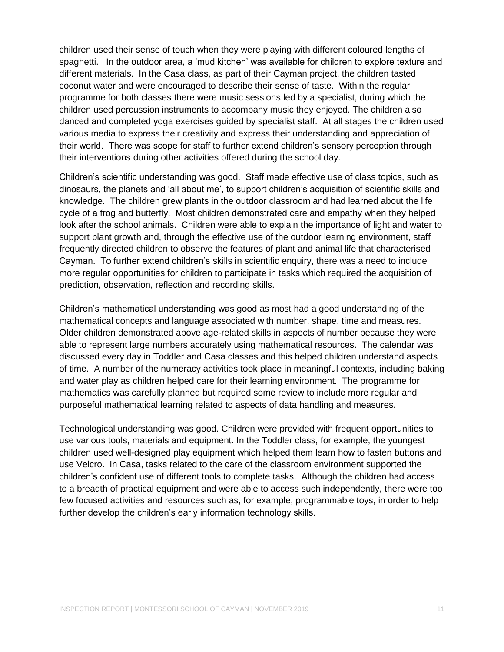children used their sense of touch when they were playing with different coloured lengths of spaghetti. In the outdoor area, a 'mud kitchen' was available for children to explore texture and different materials. In the Casa class, as part of their Cayman project, the children tasted coconut water and were encouraged to describe their sense of taste. Within the regular programme for both classes there were music sessions led by a specialist, during which the children used percussion instruments to accompany music they enjoyed. The children also danced and completed yoga exercises guided by specialist staff. At all stages the children used various media to express their creativity and express their understanding and appreciation of their world. There was scope for staff to further extend children's sensory perception through their interventions during other activities offered during the school day.

Children's scientific understanding was good. Staff made effective use of class topics, such as dinosaurs, the planets and 'all about me', to support children's acquisition of scientific skills and knowledge. The children grew plants in the outdoor classroom and had learned about the life cycle of a frog and butterfly. Most children demonstrated care and empathy when they helped look after the school animals. Children were able to explain the importance of light and water to support plant growth and, through the effective use of the outdoor learning environment, staff frequently directed children to observe the features of plant and animal life that characterised Cayman. To further extend children's skills in scientific enquiry, there was a need to include more regular opportunities for children to participate in tasks which required the acquisition of prediction, observation, reflection and recording skills.

Children's mathematical understanding was good as most had a good understanding of the mathematical concepts and language associated with number, shape, time and measures. Older children demonstrated above age-related skills in aspects of number because they were able to represent large numbers accurately using mathematical resources. The calendar was discussed every day in Toddler and Casa classes and this helped children understand aspects of time. A number of the numeracy activities took place in meaningful contexts, including baking and water play as children helped care for their learning environment. The programme for mathematics was carefully planned but required some review to include more regular and purposeful mathematical learning related to aspects of data handling and measures.

Technological understanding was good. Children were provided with frequent opportunities to use various tools, materials and equipment. In the Toddler class, for example, the youngest children used well-designed play equipment which helped them learn how to fasten buttons and use Velcro. In Casa, tasks related to the care of the classroom environment supported the children's confident use of different tools to complete tasks. Although the children had access to a breadth of practical equipment and were able to access such independently, there were too few focused activities and resources such as, for example, programmable toys, in order to help further develop the children's early information technology skills.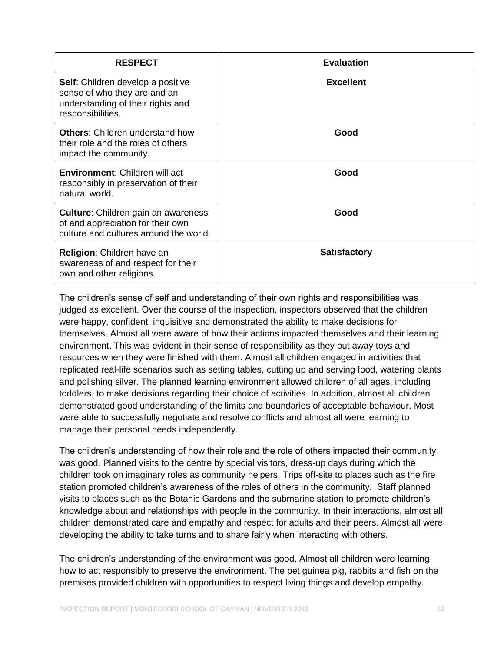| <b>RESPECT</b>                                                                                                                     | <b>Evaluation</b>   |
|------------------------------------------------------------------------------------------------------------------------------------|---------------------|
| <b>Self:</b> Children develop a positive<br>sense of who they are and an<br>understanding of their rights and<br>responsibilities. | <b>Excellent</b>    |
| <b>Others:</b> Children understand how<br>their role and the roles of others<br>impact the community.                              | Good                |
| <b>Environment:</b> Children will act<br>responsibly in preservation of their<br>natural world.                                    | Good                |
| <b>Culture:</b> Children gain an awareness<br>of and appreciation for their own<br>culture and cultures around the world.          | Good                |
| Religion: Children have an<br>awareness of and respect for their<br>own and other religions.                                       | <b>Satisfactory</b> |

The children's sense of self and understanding of their own rights and responsibilities was judged as excellent. Over the course of the inspection, inspectors observed that the children were happy, confident, inquisitive and demonstrated the ability to make decisions for themselves. Almost all were aware of how their actions impacted themselves and their learning environment. This was evident in their sense of responsibility as they put away toys and resources when they were finished with them. Almost all children engaged in activities that replicated real-life scenarios such as setting tables, cutting up and serving food, watering plants and polishing silver. The planned learning environment allowed children of all ages, including toddlers, to make decisions regarding their choice of activities. In addition, almost all children demonstrated good understanding of the limits and boundaries of acceptable behaviour. Most were able to successfully negotiate and resolve conflicts and almost all were learning to manage their personal needs independently.

The children's understanding of how their role and the role of others impacted their community was good. Planned visits to the centre by special visitors, dress-up days during which the children took on imaginary roles as community helpers. Trips off-site to places such as the fire station promoted children's awareness of the roles of others in the community. Staff planned visits to places such as the Botanic Gardens and the submarine station to promote children's knowledge about and relationships with people in the community. In their interactions, almost all children demonstrated care and empathy and respect for adults and their peers. Almost all were developing the ability to take turns and to share fairly when interacting with others.

The children's understanding of the environment was good. Almost all children were learning how to act responsibly to preserve the environment. The pet guinea pig, rabbits and fish on the premises provided children with opportunities to respect living things and develop empathy.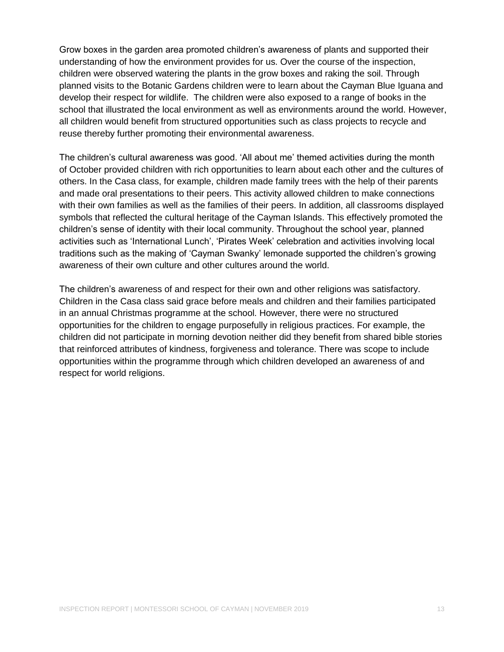Grow boxes in the garden area promoted children's awareness of plants and supported their understanding of how the environment provides for us. Over the course of the inspection, children were observed watering the plants in the grow boxes and raking the soil. Through planned visits to the Botanic Gardens children were to learn about the Cayman Blue Iguana and develop their respect for wildlife. The children were also exposed to a range of books in the school that illustrated the local environment as well as environments around the world. However, all children would benefit from structured opportunities such as class projects to recycle and reuse thereby further promoting their environmental awareness.

The children's cultural awareness was good. 'All about me' themed activities during the month of October provided children with rich opportunities to learn about each other and the cultures of others. In the Casa class, for example, children made family trees with the help of their parents and made oral presentations to their peers. This activity allowed children to make connections with their own families as well as the families of their peers. In addition, all classrooms displayed symbols that reflected the cultural heritage of the Cayman Islands. This effectively promoted the children's sense of identity with their local community. Throughout the school year, planned activities such as 'International Lunch', 'Pirates Week' celebration and activities involving local traditions such as the making of 'Cayman Swanky' lemonade supported the children's growing awareness of their own culture and other cultures around the world.

The children's awareness of and respect for their own and other religions was satisfactory. Children in the Casa class said grace before meals and children and their families participated in an annual Christmas programme at the school. However, there were no structured opportunities for the children to engage purposefully in religious practices. For example, the children did not participate in morning devotion neither did they benefit from shared bible stories that reinforced attributes of kindness, forgiveness and tolerance. There was scope to include opportunities within the programme through which children developed an awareness of and respect for world religions.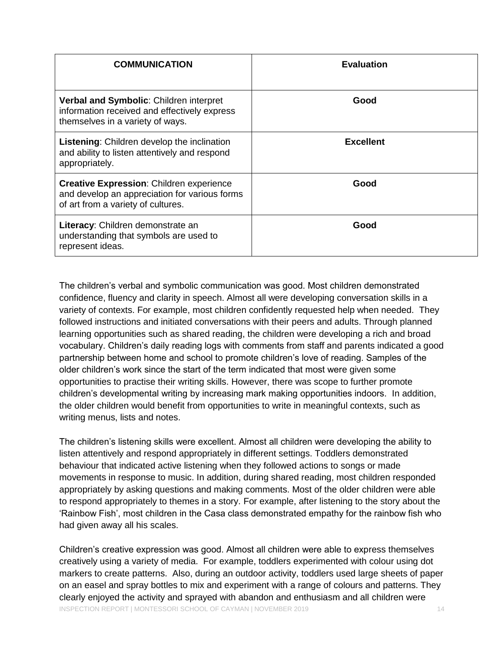| <b>COMMUNICATION</b>                                                                                                                   | <b>Evaluation</b> |
|----------------------------------------------------------------------------------------------------------------------------------------|-------------------|
| Verbal and Symbolic: Children interpret<br>information received and effectively express<br>themselves in a variety of ways.            | Good              |
| Listening: Children develop the inclination<br>and ability to listen attentively and respond<br>appropriately.                         | <b>Excellent</b>  |
| <b>Creative Expression: Children experience</b><br>and develop an appreciation for various forms<br>of art from a variety of cultures. | Good              |
| Literacy: Children demonstrate an<br>understanding that symbols are used to<br>represent ideas.                                        | Good              |

The children's verbal and symbolic communication was good. Most children demonstrated confidence, fluency and clarity in speech. Almost all were developing conversation skills in a variety of contexts. For example, most children confidently requested help when needed. They followed instructions and initiated conversations with their peers and adults. Through planned learning opportunities such as shared reading, the children were developing a rich and broad vocabulary. Children's daily reading logs with comments from staff and parents indicated a good partnership between home and school to promote children's love of reading. Samples of the older children's work since the start of the term indicated that most were given some opportunities to practise their writing skills. However, there was scope to further promote children's developmental writing by increasing mark making opportunities indoors. In addition, the older children would benefit from opportunities to write in meaningful contexts, such as writing menus, lists and notes.

The children's listening skills were excellent. Almost all children were developing the ability to listen attentively and respond appropriately in different settings. Toddlers demonstrated behaviour that indicated active listening when they followed actions to songs or made movements in response to music. In addition, during shared reading, most children responded appropriately by asking questions and making comments. Most of the older children were able to respond appropriately to themes in a story. For example, after listening to the story about the 'Rainbow Fish', most children in the Casa class demonstrated empathy for the rainbow fish who had given away all his scales.

INSPECTION REPORT | MONTESSORI SCHOOL OF CAYMAN | NOVEMBER 2019 14 Children's creative expression was good. Almost all children were able to express themselves creatively using a variety of media. For example, toddlers experimented with colour using dot markers to create patterns. Also, during an outdoor activity, toddlers used large sheets of paper on an easel and spray bottles to mix and experiment with a range of colours and patterns. They clearly enjoyed the activity and sprayed with abandon and enthusiasm and all children were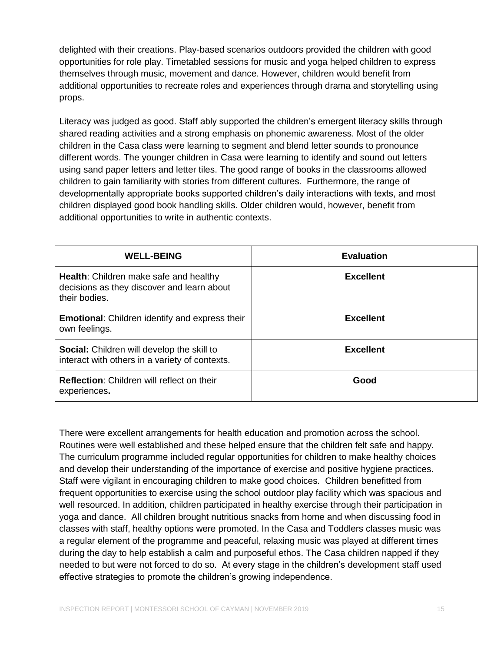delighted with their creations. Play-based scenarios outdoors provided the children with good opportunities for role play. Timetabled sessions for music and yoga helped children to express themselves through music, movement and dance. However, children would benefit from additional opportunities to recreate roles and experiences through drama and storytelling using props.

Literacy was judged as good. Staff ably supported the children's emergent literacy skills through shared reading activities and a strong emphasis on phonemic awareness. Most of the older children in the Casa class were learning to segment and blend letter sounds to pronounce different words. The younger children in Casa were learning to identify and sound out letters using sand paper letters and letter tiles. The good range of books in the classrooms allowed children to gain familiarity with stories from different cultures. Furthermore, the range of developmentally appropriate books supported children's daily interactions with texts, and most children displayed good book handling skills. Older children would, however, benefit from additional opportunities to write in authentic contexts.

| <b>WELL-BEING</b>                                                                                            | <b>Evaluation</b> |
|--------------------------------------------------------------------------------------------------------------|-------------------|
| <b>Health:</b> Children make safe and healthy<br>decisions as they discover and learn about<br>their bodies. | <b>Excellent</b>  |
| <b>Emotional:</b> Children identify and express their<br>own feelings.                                       | <b>Excellent</b>  |
| <b>Social:</b> Children will develop the skill to<br>interact with others in a variety of contexts.          | <b>Excellent</b>  |
| <b>Reflection:</b> Children will reflect on their<br>experiences.                                            | Good              |

There were excellent arrangements for health education and promotion across the school. Routines were well established and these helped ensure that the children felt safe and happy. The curriculum programme included regular opportunities for children to make healthy choices and develop their understanding of the importance of exercise and positive hygiene practices. Staff were vigilant in encouraging children to make good choices. Children benefitted from frequent opportunities to exercise using the school outdoor play facility which was spacious and well resourced. In addition, children participated in healthy exercise through their participation in yoga and dance. All children brought nutritious snacks from home and when discussing food in classes with staff, healthy options were promoted. In the Casa and Toddlers classes music was a regular element of the programme and peaceful, relaxing music was played at different times during the day to help establish a calm and purposeful ethos. The Casa children napped if they needed to but were not forced to do so. At every stage in the children's development staff used effective strategies to promote the children's growing independence.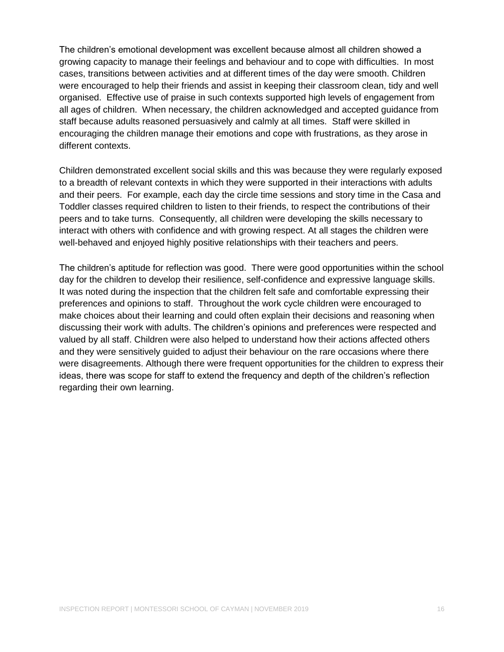The children's emotional development was excellent because almost all children showed a growing capacity to manage their feelings and behaviour and to cope with difficulties. In most cases, transitions between activities and at different times of the day were smooth. Children were encouraged to help their friends and assist in keeping their classroom clean, tidy and well organised. Effective use of praise in such contexts supported high levels of engagement from all ages of children. When necessary, the children acknowledged and accepted guidance from staff because adults reasoned persuasively and calmly at all times. Staff were skilled in encouraging the children manage their emotions and cope with frustrations, as they arose in different contexts.

Children demonstrated excellent social skills and this was because they were regularly exposed to a breadth of relevant contexts in which they were supported in their interactions with adults and their peers. For example, each day the circle time sessions and story time in the Casa and Toddler classes required children to listen to their friends, to respect the contributions of their peers and to take turns. Consequently, all children were developing the skills necessary to interact with others with confidence and with growing respect. At all stages the children were well-behaved and enjoyed highly positive relationships with their teachers and peers.

The children's aptitude for reflection was good. There were good opportunities within the school day for the children to develop their resilience, self-confidence and expressive language skills. It was noted during the inspection that the children felt safe and comfortable expressing their preferences and opinions to staff. Throughout the work cycle children were encouraged to make choices about their learning and could often explain their decisions and reasoning when discussing their work with adults. The children's opinions and preferences were respected and valued by all staff. Children were also helped to understand how their actions affected others and they were sensitively guided to adjust their behaviour on the rare occasions where there were disagreements. Although there were frequent opportunities for the children to express their ideas, there was scope for staff to extend the frequency and depth of the children's reflection regarding their own learning.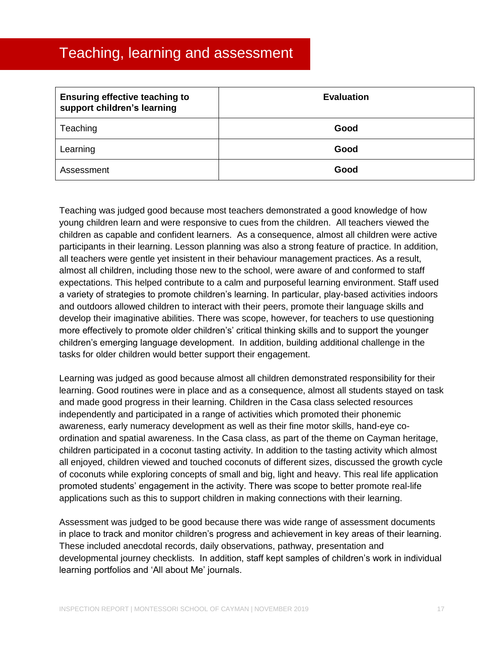### <span id="page-16-0"></span>Teaching, learning and assessment

| <b>Ensuring effective teaching to</b><br>support children's learning | <b>Evaluation</b> |
|----------------------------------------------------------------------|-------------------|
| Teaching                                                             | Good              |
| Learning                                                             | Good              |
| Assessment                                                           | Good              |

Teaching was judged good because most teachers demonstrated a good knowledge of how young children learn and were responsive to cues from the children. All teachers viewed the children as capable and confident learners. As a consequence, almost all children were active participants in their learning. Lesson planning was also a strong feature of practice. In addition, all teachers were gentle yet insistent in their behaviour management practices. As a result, almost all children, including those new to the school, were aware of and conformed to staff expectations. This helped contribute to a calm and purposeful learning environment. Staff used a variety of strategies to promote children's learning. In particular, play-based activities indoors and outdoors allowed children to interact with their peers, promote their language skills and develop their imaginative abilities. There was scope, however, for teachers to use questioning more effectively to promote older children's' critical thinking skills and to support the younger children's emerging language development. In addition, building additional challenge in the tasks for older children would better support their engagement.

Learning was judged as good because almost all children demonstrated responsibility for their learning. Good routines were in place and as a consequence, almost all students stayed on task and made good progress in their learning. Children in the Casa class selected resources independently and participated in a range of activities which promoted their phonemic awareness, early numeracy development as well as their fine motor skills, hand-eye coordination and spatial awareness. In the Casa class, as part of the theme on Cayman heritage, children participated in a coconut tasting activity. In addition to the tasting activity which almost all enjoyed, children viewed and touched coconuts of different sizes, discussed the growth cycle of coconuts while exploring concepts of small and big, light and heavy. This real life application promoted students' engagement in the activity. There was scope to better promote real-life applications such as this to support children in making connections with their learning.

Assessment was judged to be good because there was wide range of assessment documents in place to track and monitor children's progress and achievement in key areas of their learning. These included anecdotal records, daily observations, pathway, presentation and developmental journey checklists. In addition, staff kept samples of children's work in individual learning portfolios and 'All about Me' journals.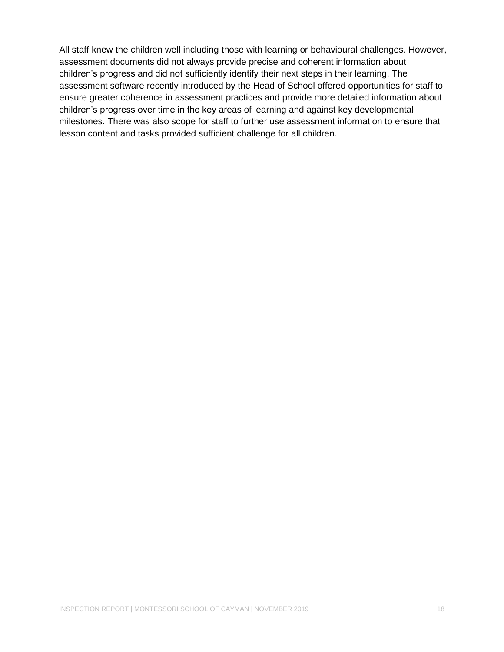All staff knew the children well including those with learning or behavioural challenges. However, assessment documents did not always provide precise and coherent information about children's progress and did not sufficiently identify their next steps in their learning. The assessment software recently introduced by the Head of School offered opportunities for staff to ensure greater coherence in assessment practices and provide more detailed information about children's progress over time in the key areas of learning and against key developmental milestones. There was also scope for staff to further use assessment information to ensure that lesson content and tasks provided sufficient challenge for all children.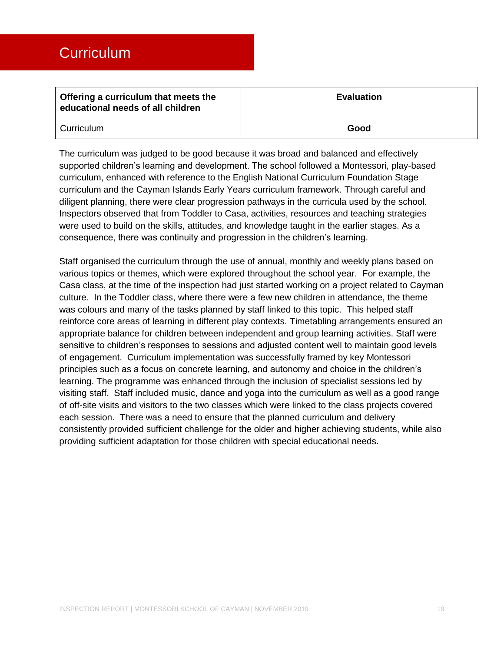<span id="page-18-0"></span>

| Offering a curriculum that meets the<br>educational needs of all children | <b>Evaluation</b> |
|---------------------------------------------------------------------------|-------------------|
| Curriculum                                                                | Good              |

The curriculum was judged to be good because it was broad and balanced and effectively supported children's learning and development. The school followed a Montessori, play-based curriculum, enhanced with reference to the English National Curriculum Foundation Stage curriculum and the Cayman Islands Early Years curriculum framework. Through careful and diligent planning, there were clear progression pathways in the curricula used by the school. Inspectors observed that from Toddler to Casa, activities, resources and teaching strategies were used to build on the skills, attitudes, and knowledge taught in the earlier stages. As a consequence, there was continuity and progression in the children's learning.

Staff organised the curriculum through the use of annual, monthly and weekly plans based on various topics or themes, which were explored throughout the school year. For example, the Casa class, at the time of the inspection had just started working on a project related to Cayman culture. In the Toddler class, where there were a few new children in attendance, the theme was colours and many of the tasks planned by staff linked to this topic. This helped staff reinforce core areas of learning in different play contexts. Timetabling arrangements ensured an appropriate balance for children between independent and group learning activities. Staff were sensitive to children's responses to sessions and adjusted content well to maintain good levels of engagement. Curriculum implementation was successfully framed by key Montessori principles such as a focus on concrete learning, and autonomy and choice in the children's learning. The programme was enhanced through the inclusion of specialist sessions led by visiting staff. Staff included music, dance and yoga into the curriculum as well as a good range of off-site visits and visitors to the two classes which were linked to the class projects covered each session. There was a need to ensure that the planned curriculum and delivery consistently provided sufficient challenge for the older and higher achieving students, while also providing sufficient adaptation for those children with special educational needs.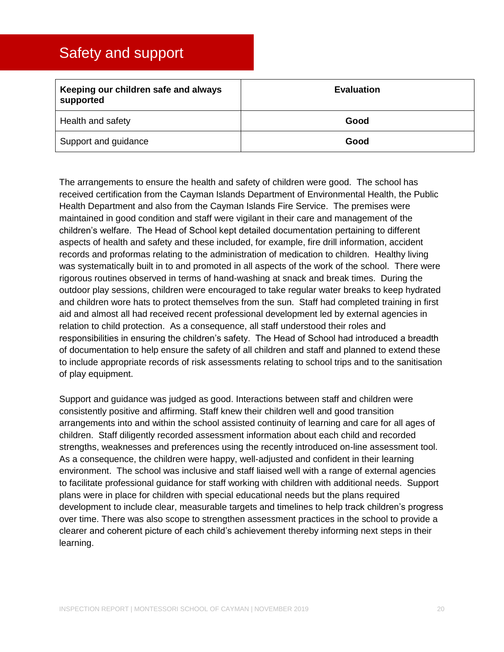### <span id="page-19-0"></span>Safety and support

| Keeping our children safe and always<br>supported | <b>Evaluation</b> |
|---------------------------------------------------|-------------------|
| Health and safety                                 | Good              |
| Support and guidance                              | Good              |

The arrangements to ensure the health and safety of children were good. The school has received certification from the Cayman Islands Department of Environmental Health, the Public Health Department and also from the Cayman Islands Fire Service. The premises were maintained in good condition and staff were vigilant in their care and management of the children's welfare. The Head of School kept detailed documentation pertaining to different aspects of health and safety and these included, for example, fire drill information, accident records and proformas relating to the administration of medication to children. Healthy living was systematically built in to and promoted in all aspects of the work of the school. There were rigorous routines observed in terms of hand-washing at snack and break times. During the outdoor play sessions, children were encouraged to take regular water breaks to keep hydrated and children wore hats to protect themselves from the sun. Staff had completed training in first aid and almost all had received recent professional development led by external agencies in relation to child protection. As a consequence, all staff understood their roles and responsibilities in ensuring the children's safety. The Head of School had introduced a breadth of documentation to help ensure the safety of all children and staff and planned to extend these to include appropriate records of risk assessments relating to school trips and to the sanitisation of play equipment.

Support and guidance was judged as good. Interactions between staff and children were consistently positive and affirming. Staff knew their children well and good transition arrangements into and within the school assisted continuity of learning and care for all ages of children. Staff diligently recorded assessment information about each child and recorded strengths, weaknesses and preferences using the recently introduced on-line assessment tool. As a consequence, the children were happy, well-adjusted and confident in their learning environment. The school was inclusive and staff liaised well with a range of external agencies to facilitate professional guidance for staff working with children with additional needs. Support plans were in place for children with special educational needs but the plans required development to include clear, measurable targets and timelines to help track children's progress over time. There was also scope to strengthen assessment practices in the school to provide a clearer and coherent picture of each child's achievement thereby informing next steps in their learning.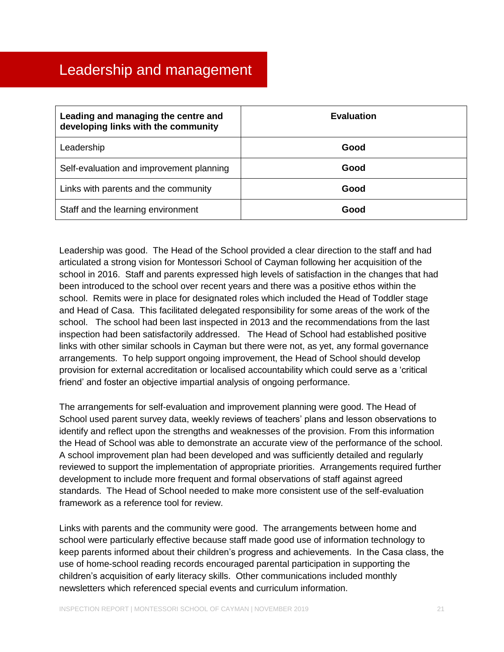<span id="page-20-0"></span>

| Leading and managing the centre and<br>developing links with the community | <b>Evaluation</b> |
|----------------------------------------------------------------------------|-------------------|
| Leadership                                                                 | Good              |
| Self-evaluation and improvement planning                                   | Good              |
| Links with parents and the community                                       | Good              |
| Staff and the learning environment                                         | Good              |

Leadership was good. The Head of the School provided a clear direction to the staff and had articulated a strong vision for Montessori School of Cayman following her acquisition of the school in 2016. Staff and parents expressed high levels of satisfaction in the changes that had been introduced to the school over recent years and there was a positive ethos within the school. Remits were in place for designated roles which included the Head of Toddler stage and Head of Casa. This facilitated delegated responsibility for some areas of the work of the school. The school had been last inspected in 2013 and the recommendations from the last inspection had been satisfactorily addressed. The Head of School had established positive links with other similar schools in Cayman but there were not, as yet, any formal governance arrangements. To help support ongoing improvement, the Head of School should develop provision for external accreditation or localised accountability which could serve as a 'critical friend' and foster an objective impartial analysis of ongoing performance.

The arrangements for self-evaluation and improvement planning were good. The Head of School used parent survey data, weekly reviews of teachers' plans and lesson observations to identify and reflect upon the strengths and weaknesses of the provision. From this information the Head of School was able to demonstrate an accurate view of the performance of the school. A school improvement plan had been developed and was sufficiently detailed and regularly reviewed to support the implementation of appropriate priorities. Arrangements required further development to include more frequent and formal observations of staff against agreed standards. The Head of School needed to make more consistent use of the self-evaluation framework as a reference tool for review.

Links with parents and the community were good. The arrangements between home and school were particularly effective because staff made good use of information technology to keep parents informed about their children's progress and achievements. In the Casa class, the use of home-school reading records encouraged parental participation in supporting the children's acquisition of early literacy skills. Other communications included monthly newsletters which referenced special events and curriculum information.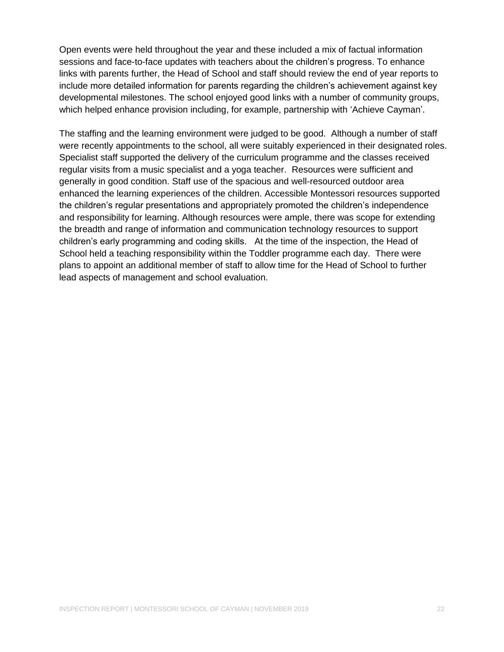Open events were held throughout the year and these included a mix of factual information sessions and face-to-face updates with teachers about the children's progress. To enhance links with parents further, the Head of School and staff should review the end of year reports to include more detailed information for parents regarding the children's achievement against key developmental milestones. The school enjoyed good links with a number of community groups, which helped enhance provision including, for example, partnership with 'Achieve Cayman'.

The staffing and the learning environment were judged to be good. Although a number of staff were recently appointments to the school, all were suitably experienced in their designated roles. Specialist staff supported the delivery of the curriculum programme and the classes received regular visits from a music specialist and a yoga teacher. Resources were sufficient and generally in good condition. Staff use of the spacious and well-resourced outdoor area enhanced the learning experiences of the children. Accessible Montessori resources supported the children's regular presentations and appropriately promoted the children's independence and responsibility for learning. Although resources were ample, there was scope for extending the breadth and range of information and communication technology resources to support children's early programming and coding skills. At the time of the inspection, the Head of School held a teaching responsibility within the Toddler programme each day. There were plans to appoint an additional member of staff to allow time for the Head of School to further lead aspects of management and school evaluation.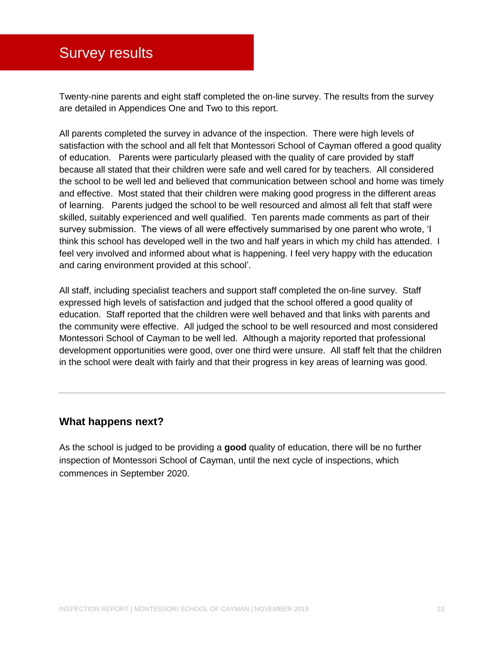### <span id="page-22-0"></span>**Survey results**

Twenty-nine parents and eight staff completed the on-line survey. The results from the survey are detailed in Appendices One and Two to this report.

All parents completed the survey in advance of the inspection. There were high levels of satisfaction with the school and all felt that Montessori School of Cayman offered a good quality of education. Parents were particularly pleased with the quality of care provided by staff because all stated that their children were safe and well cared for by teachers. All considered the school to be well led and believed that communication between school and home was timely and effective. Most stated that their children were making good progress in the different areas of learning. Parents judged the school to be well resourced and almost all felt that staff were skilled, suitably experienced and well qualified. Ten parents made comments as part of their survey submission. The views of all were effectively summarised by one parent who wrote, 'I think this school has developed well in the two and half years in which my child has attended. I feel very involved and informed about what is happening. I feel very happy with the education and caring environment provided at this school'.

All staff, including specialist teachers and support staff completed the on-line survey. Staff expressed high levels of satisfaction and judged that the school offered a good quality of education. Staff reported that the children were well behaved and that links with parents and the community were effective. All judged the school to be well resourced and most considered Montessori School of Cayman to be well led. Although a majority reported that professional development opportunities were good, over one third were unsure. All staff felt that the children in the school were dealt with fairly and that their progress in key areas of learning was good.

#### **What happens next?**

As the school is judged to be providing a **good** quality of education, there will be no further inspection of Montessori School of Cayman, until the next cycle of inspections, which commences in September 2020.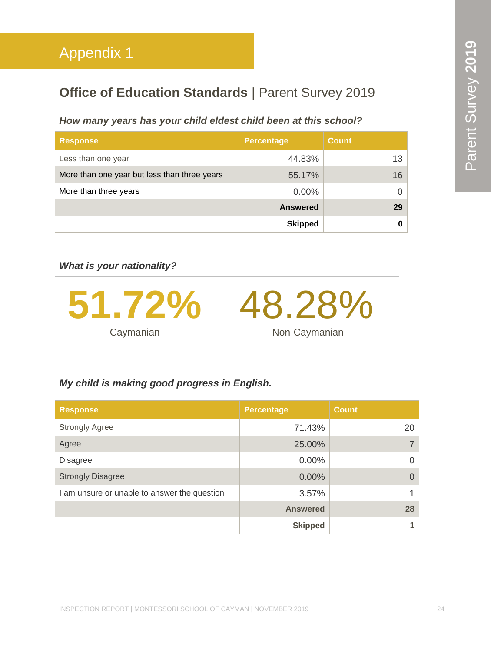### <span id="page-23-0"></span>**Office of Education Standards | Parent Survey 2019**

#### *How many years has your child eldest child been at this school?*

| <b>Response</b>                              | <b>Percentage</b> | <b>Count</b>    |
|----------------------------------------------|-------------------|-----------------|
| Less than one year                           | 44.83%            | 13 <sup>1</sup> |
| More than one year but less than three years | 55.17%            | 16              |
| More than three years                        | $0.00\%$          |                 |
|                                              | <b>Answered</b>   | 29              |
|                                              | <b>Skipped</b>    |                 |

*What is your nationality?*



#### *My child is making good progress in English.*

| <b>Response</b>                              | <b>Percentage</b> | <b>Count</b> |
|----------------------------------------------|-------------------|--------------|
| <b>Strongly Agree</b>                        | 71.43%            | 20           |
| Agree                                        | 25.00%            |              |
| <b>Disagree</b>                              | $0.00\%$          |              |
| <b>Strongly Disagree</b>                     | 0.00%             |              |
| I am unsure or unable to answer the question | 3.57%             |              |
|                                              | <b>Answered</b>   | 28           |
|                                              | <b>Skipped</b>    |              |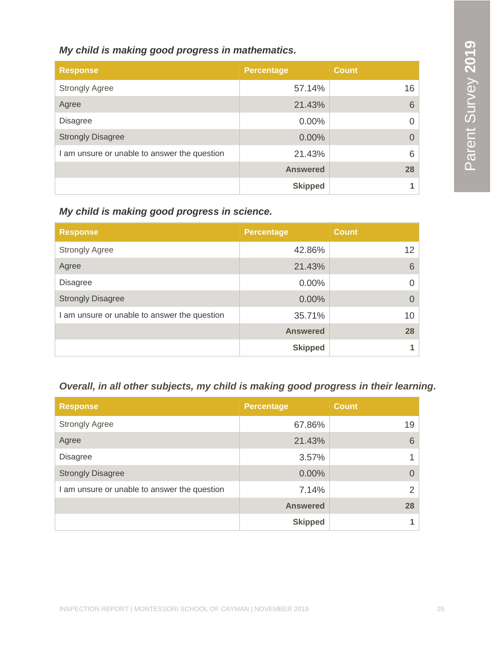#### *My child is making good progress in mathematics.*

| <b>Response</b>                              | <b>Percentage</b> | <b>Count</b> |
|----------------------------------------------|-------------------|--------------|
| <b>Strongly Agree</b>                        | 57.14%            | 16           |
| Agree                                        | 21.43%            | 6            |
| <b>Disagree</b>                              | 0.00%             | 0            |
| <b>Strongly Disagree</b>                     | $0.00\%$          | $\Omega$     |
| I am unsure or unable to answer the question | 21.43%            | 6            |
|                                              | <b>Answered</b>   | 28           |
|                                              | <b>Skipped</b>    |              |

*My child is making good progress in science.*

| <b>Response</b>                              | <b>Percentage</b> | <b>Count</b>    |
|----------------------------------------------|-------------------|-----------------|
| <b>Strongly Agree</b>                        | 42.86%            | 12              |
| Agree                                        | 21.43%            | 6               |
| <b>Disagree</b>                              | $0.00\%$          | 0               |
| <b>Strongly Disagree</b>                     | 0.00%             | 0               |
| I am unsure or unable to answer the question | 35.71%            | 10 <sup>°</sup> |
|                                              | <b>Answered</b>   | 28              |
|                                              | <b>Skipped</b>    |                 |

#### *Overall, in all other subjects, my child is making good progress in their learning.*

| <b>Response</b>                              | <b>Percentage</b> | <b>Count</b> |
|----------------------------------------------|-------------------|--------------|
| <b>Strongly Agree</b>                        | 67.86%            | 19           |
| Agree                                        | 21.43%            | 6            |
| <b>Disagree</b>                              | 3.57%             |              |
| <b>Strongly Disagree</b>                     | $0.00\%$          | 0            |
| I am unsure or unable to answer the question | 7.14%             | 2            |
|                                              | <b>Answered</b>   | 28           |
|                                              | <b>Skipped</b>    |              |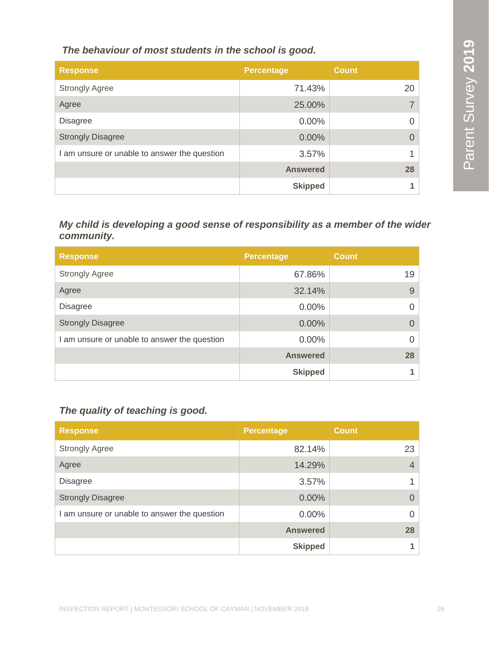*The behaviour of most students in the school is good.*

| <b>Response</b>                              | <b>Percentage</b> | <b>Count</b> |
|----------------------------------------------|-------------------|--------------|
| <b>Strongly Agree</b>                        | 71.43%            | 20           |
| Agree                                        | 25.00%            |              |
| <b>Disagree</b>                              | 0.00%             |              |
| <b>Strongly Disagree</b>                     | 0.00%             |              |
| I am unsure or unable to answer the question | 3.57%             |              |
|                                              | <b>Answered</b>   | 28           |
|                                              | <b>Skipped</b>    |              |

#### *My child is developing a good sense of responsibility as a member of the wider community.*

| <b>Response</b>                              | <b>Percentage</b> | <b>Count</b> |
|----------------------------------------------|-------------------|--------------|
| <b>Strongly Agree</b>                        | 67.86%            | 19           |
| Agree                                        | 32.14%            | 9            |
| <b>Disagree</b>                              | $0.00\%$          | 0            |
| <b>Strongly Disagree</b>                     | 0.00%             | 0            |
| I am unsure or unable to answer the question | 0.00%             | 0            |
|                                              | <b>Answered</b>   | 28           |
|                                              | <b>Skipped</b>    |              |

#### *The quality of teaching is good.*

| <b>Response</b>                              | <b>Percentage</b> | <b>Count</b>   |
|----------------------------------------------|-------------------|----------------|
| <b>Strongly Agree</b>                        | 82.14%            | 23             |
| Agree                                        | 14.29%            | $\overline{4}$ |
| <b>Disagree</b>                              | 3.57%             |                |
| <b>Strongly Disagree</b>                     | $0.00\%$          | $\Omega$       |
| I am unsure or unable to answer the question | $0.00\%$          | $\Omega$       |
|                                              | <b>Answered</b>   | 28             |
|                                              | <b>Skipped</b>    |                |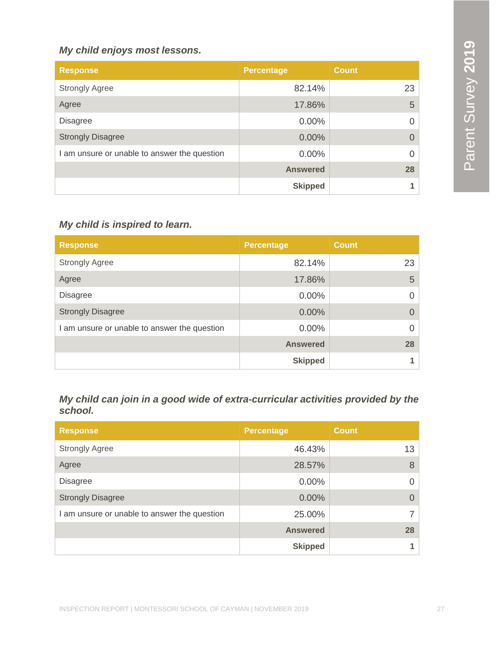#### *My child enjoys most lessons.*

| <b>Response</b>                              | <b>Percentage</b> | <b>Count</b> |
|----------------------------------------------|-------------------|--------------|
| <b>Strongly Agree</b>                        | 82.14%            | 23           |
| Agree                                        | 17.86%            | 5            |
| <b>Disagree</b>                              | 0.00%             | Ω            |
| <b>Strongly Disagree</b>                     | $0.00\%$          |              |
| I am unsure or unable to answer the question | 0.00%             | Ω            |
|                                              | <b>Answered</b>   | 28           |
|                                              | <b>Skipped</b>    |              |

#### *My child is inspired to learn.*

| <b>Response</b>                              | <b>Percentage</b> | <b>Count</b> |
|----------------------------------------------|-------------------|--------------|
| <b>Strongly Agree</b>                        | 82.14%            | 23           |
| Agree                                        | 17.86%            | 5            |
| <b>Disagree</b>                              | $0.00\%$          | 0            |
| <b>Strongly Disagree</b>                     | 0.00%             | 0            |
| I am unsure or unable to answer the question | 0.00%             | 0            |
|                                              | <b>Answered</b>   | 28           |
|                                              | <b>Skipped</b>    |              |

#### *My child can join in a good wide of extra-curricular activities provided by the school.*

| <b>Response</b>                              | <b>Percentage</b> | <b>Count</b> |
|----------------------------------------------|-------------------|--------------|
| <b>Strongly Agree</b>                        | 46.43%            | 13           |
| Agree                                        | 28.57%            | 8            |
| <b>Disagree</b>                              | $0.00\%$          |              |
| <b>Strongly Disagree</b>                     | 0.00%             |              |
| I am unsure or unable to answer the question | 25.00%            |              |
|                                              | <b>Answered</b>   | 28           |
|                                              | <b>Skipped</b>    |              |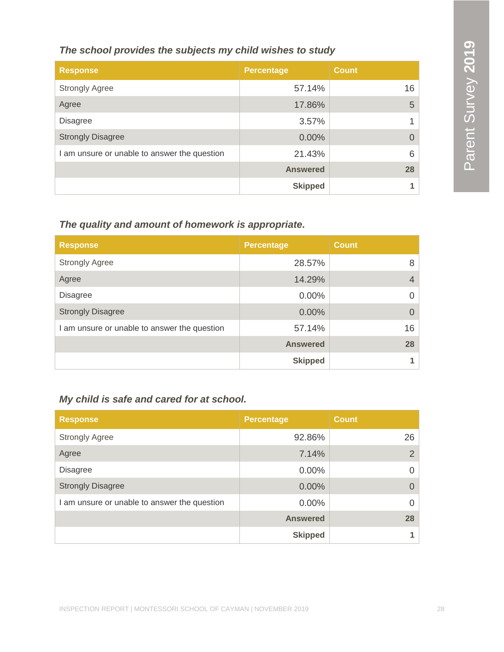#### *The school provides the subjects my child wishes to study*

| <b>Response</b>                              | <b>Percentage</b> | <b>Count</b> |
|----------------------------------------------|-------------------|--------------|
| <b>Strongly Agree</b>                        | 57.14%            | 16           |
| Agree                                        | 17.86%            | 5            |
| <b>Disagree</b>                              | 3.57%             |              |
| <b>Strongly Disagree</b>                     | 0.00%             |              |
| I am unsure or unable to answer the question | 21.43%            | 6            |
|                                              | <b>Answered</b>   | 28           |
|                                              | <b>Skipped</b>    |              |

### *The quality and amount of homework is appropriate.*

| <b>Response</b>                              | <b>Percentage</b> | <b>Count</b> |
|----------------------------------------------|-------------------|--------------|
| <b>Strongly Agree</b>                        | 28.57%            | 8            |
| Agree                                        | 14.29%            | 4            |
| <b>Disagree</b>                              | 0.00%             | 0            |
| <b>Strongly Disagree</b>                     | 0.00%             | $\Omega$     |
| I am unsure or unable to answer the question | 57.14%            | 16           |
|                                              | <b>Answered</b>   | 28           |
|                                              | <b>Skipped</b>    |              |

#### *My child is safe and cared for at school.*

| <b>Response</b>                              | <b>Percentage</b> | <b>Count</b> |
|----------------------------------------------|-------------------|--------------|
| <b>Strongly Agree</b>                        | 92.86%            | 26           |
| Agree                                        | 7.14%             | 2            |
| <b>Disagree</b>                              | $0.00\%$          | $\Omega$     |
| <b>Strongly Disagree</b>                     | 0.00%             | $\Omega$     |
| I am unsure or unable to answer the question | $0.00\%$          | 0            |
|                                              | <b>Answered</b>   | 28           |
|                                              | <b>Skipped</b>    |              |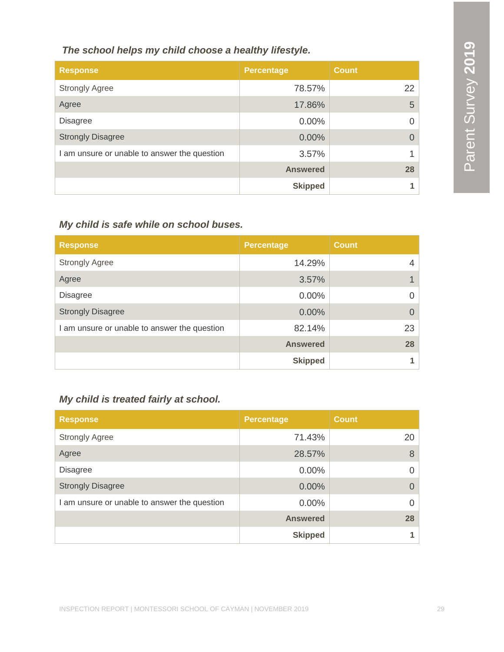| The school helps my child choose a healthy lifestyle. |                   |              |
|-------------------------------------------------------|-------------------|--------------|
| <b>Response</b>                                       | <b>Percentage</b> | <b>Count</b> |
| <b>Strongly Agree</b>                                 | 78.57%            | 22           |
| Agree                                                 | 17.86%            | 5            |
| <b>Disagree</b>                                       | $0.00\%$          | 0            |
| <b>Strongly Disagree</b>                              | 0.00%             | Ω            |
| I am unsure or unable to answer the question          | 3.57%             | и            |
|                                                       | <b>Answered</b>   | 28           |
|                                                       | <b>Skipped</b>    |              |

### *My child is safe while on school buses.*

| <b>Response</b>                              | <b>Percentage</b> | <b>Count</b> |
|----------------------------------------------|-------------------|--------------|
| <b>Strongly Agree</b>                        | 14.29%            | 4            |
| Agree                                        | 3.57%             |              |
| <b>Disagree</b>                              | 0.00%             | 0            |
| <b>Strongly Disagree</b>                     | 0.00%             | $\Omega$     |
| I am unsure or unable to answer the question | 82.14%            | 23           |
|                                              | <b>Answered</b>   | 28           |
|                                              | <b>Skipped</b>    |              |

#### *My child is treated fairly at school.*

| <b>Response</b>                              | <b>Percentage</b> | <b>Count</b> |
|----------------------------------------------|-------------------|--------------|
| <b>Strongly Agree</b>                        | 71.43%            | 20           |
| Agree                                        | 28.57%            | 8            |
| <b>Disagree</b>                              | $0.00\%$          | 0            |
| <b>Strongly Disagree</b>                     | $0.00\%$          | $\Omega$     |
| I am unsure or unable to answer the question | $0.00\%$          | 0            |
|                                              | <b>Answered</b>   | 28           |
|                                              | <b>Skipped</b>    |              |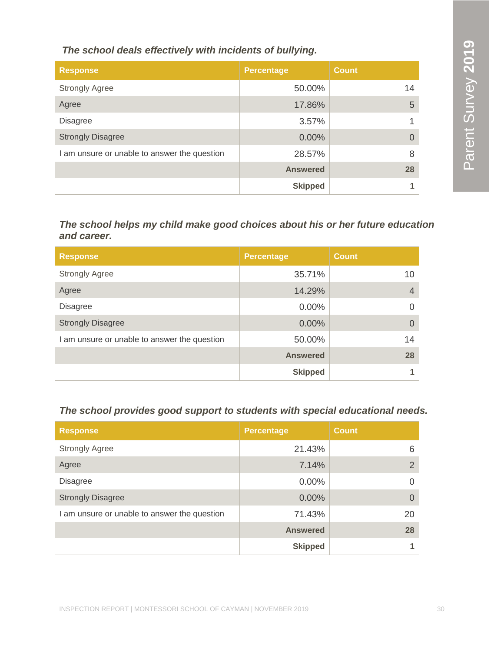*The school deals effectively with incidents of bullying.*

| <b>Response</b>                              | <b>Percentage</b> | <b>Count</b> |
|----------------------------------------------|-------------------|--------------|
| <b>Strongly Agree</b>                        | 50.00%            | 14           |
| Agree                                        | 17.86%            | 5            |
| <b>Disagree</b>                              | 3.57%             |              |
| <b>Strongly Disagree</b>                     | 0.00%             |              |
| I am unsure or unable to answer the question | 28.57%            | 8            |
|                                              | <b>Answered</b>   | 28           |
|                                              | <b>Skipped</b>    |              |

*The school helps my child make good choices about his or her future education and career.*

| <b>Response</b>                              | <b>Percentage</b> | <b>Count</b>   |
|----------------------------------------------|-------------------|----------------|
| <b>Strongly Agree</b>                        | 35.71%            | 10             |
| Agree                                        | 14.29%            | $\overline{4}$ |
| <b>Disagree</b>                              | $0.00\%$          | Ω              |
| <b>Strongly Disagree</b>                     | 0.00%             | 0              |
| I am unsure or unable to answer the question | 50.00%            | 14             |
|                                              | <b>Answered</b>   | 28             |
|                                              | <b>Skipped</b>    |                |

#### *The school provides good support to students with special educational needs.*

| <b>Response</b>                              | <b>Percentage</b> | <b>Count</b>  |
|----------------------------------------------|-------------------|---------------|
| <b>Strongly Agree</b>                        | 21.43%            | 6             |
| Agree                                        | 7.14%             | $\mathcal{P}$ |
| <b>Disagree</b>                              | $0.00\%$          |               |
| <b>Strongly Disagree</b>                     | 0.00%             |               |
| I am unsure or unable to answer the question | 71.43%            | 20            |
|                                              | <b>Answered</b>   | 28            |
|                                              | <b>Skipped</b>    |               |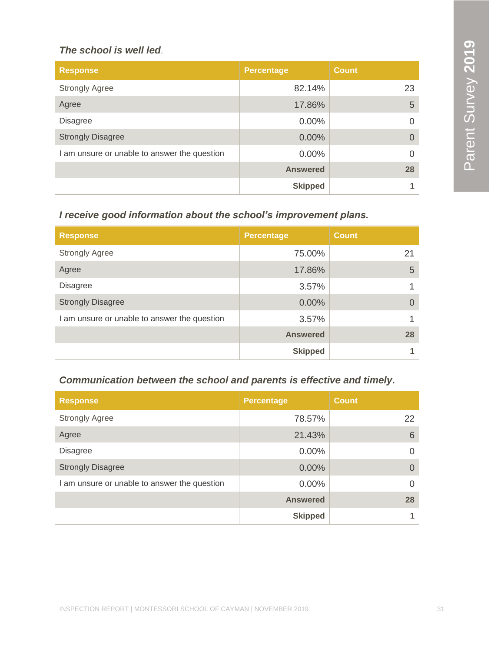#### *The school is well led*.

| <b>Response</b>                              | <b>Percentage</b> | <b>Count</b> |
|----------------------------------------------|-------------------|--------------|
| <b>Strongly Agree</b>                        | 82.14%            | 23           |
| Agree                                        | 17.86%            | 5            |
| <b>Disagree</b>                              | $0.00\%$          | O            |
| <b>Strongly Disagree</b>                     | 0.00%             | O            |
| I am unsure or unable to answer the question | $0.00\%$          | $\Omega$     |
|                                              | <b>Answered</b>   | 28           |
|                                              | <b>Skipped</b>    |              |

#### *I receive good information about the school's improvement plans.*

| <b>Response</b>                              | <b>Percentage</b> | <b>Count</b> |
|----------------------------------------------|-------------------|--------------|
| <b>Strongly Agree</b>                        | 75.00%            | 21           |
| Agree                                        | 17.86%            | 5            |
| <b>Disagree</b>                              | 3.57%             |              |
| <b>Strongly Disagree</b>                     | 0.00%             |              |
| I am unsure or unable to answer the question | 3.57%             |              |
|                                              | <b>Answered</b>   | 28           |
|                                              | <b>Skipped</b>    |              |

#### *Communication between the school and parents is effective and timely.*

| <b>Response</b>                              | <b>Percentage</b> | <b>Count</b> |
|----------------------------------------------|-------------------|--------------|
| <b>Strongly Agree</b>                        | 78.57%            | 22           |
| Agree                                        | 21.43%            | 6            |
| <b>Disagree</b>                              | $0.00\%$          | 0            |
| <b>Strongly Disagree</b>                     | $0.00\%$          | $\Omega$     |
| I am unsure or unable to answer the question | $0.00\%$          | $\Omega$     |
|                                              | <b>Answered</b>   | 28           |
|                                              | <b>Skipped</b>    | 1            |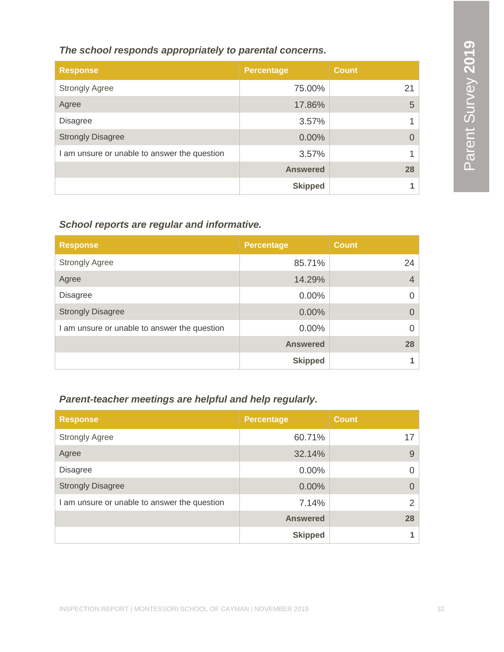#### *The school responds appropriately to parental concerns.*

| <b>Response</b>                              | Percentage      | <b>Count</b> |
|----------------------------------------------|-----------------|--------------|
| <b>Strongly Agree</b>                        | 75.00%          | 21           |
| Agree                                        | 17.86%          | 5            |
| <b>Disagree</b>                              | 3.57%           |              |
| <b>Strongly Disagree</b>                     | $0.00\%$        |              |
| I am unsure or unable to answer the question | 3.57%           |              |
|                                              | <b>Answered</b> | 28           |
|                                              | <b>Skipped</b>  |              |

#### *School reports are regular and informative.*

| <b>Response</b>                              | <b>Percentage</b> | <b>Count</b> |
|----------------------------------------------|-------------------|--------------|
| <b>Strongly Agree</b>                        | 85.71%            | 24           |
| Agree                                        | 14.29%            | 4            |
| <b>Disagree</b>                              | 0.00%             | 0            |
| <b>Strongly Disagree</b>                     | 0.00%             | 0            |
| I am unsure or unable to answer the question | 0.00%             | 0            |
|                                              | <b>Answered</b>   | 28           |
|                                              | <b>Skipped</b>    |              |

#### *Parent-teacher meetings are helpful and help regularly.*

| <b>Response</b>                              | <b>Percentage</b> | <b>Count</b> |
|----------------------------------------------|-------------------|--------------|
| <b>Strongly Agree</b>                        | 60.71%            | 17           |
| Agree                                        | 32.14%            | 9            |
| <b>Disagree</b>                              | $0.00\%$          | $\Omega$     |
| <b>Strongly Disagree</b>                     | 0.00%             | $\Omega$     |
| I am unsure or unable to answer the question | 7.14%             | 2            |
|                                              | <b>Answered</b>   | 28           |
|                                              | <b>Skipped</b>    |              |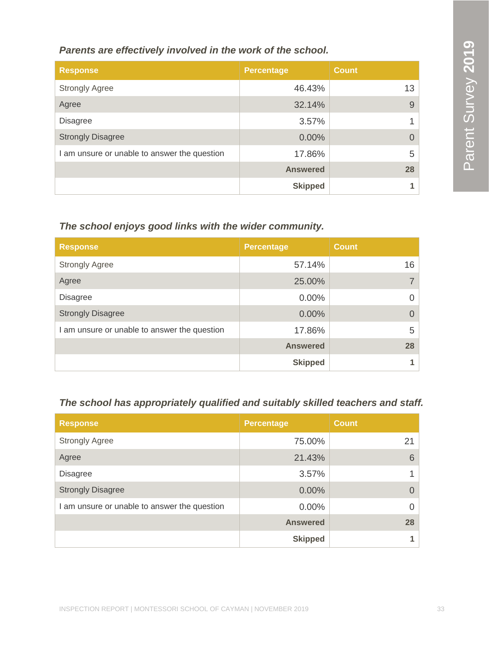*Parents are effectively involved in the work of the school.*

| <b>Response</b>                              | <b>Percentage</b> | <b>Count</b> |
|----------------------------------------------|-------------------|--------------|
| <b>Strongly Agree</b>                        | 46.43%            | 13           |
| Agree                                        | 32.14%            | 9            |
| <b>Disagree</b>                              | 3.57%             |              |
| <b>Strongly Disagree</b>                     | 0.00%             |              |
| I am unsure or unable to answer the question | 17.86%            | 5            |
|                                              | <b>Answered</b>   | 28           |
|                                              | <b>Skipped</b>    |              |

#### *The school enjoys good links with the wider community.*

| <b>Response</b>                              | <b>Percentage</b> | <b>Count</b> |
|----------------------------------------------|-------------------|--------------|
| <b>Strongly Agree</b>                        | 57.14%            | 16           |
| Agree                                        | 25.00%            |              |
| <b>Disagree</b>                              | $0.00\%$          | 0            |
| <b>Strongly Disagree</b>                     | 0.00%             | 0            |
| I am unsure or unable to answer the question | 17.86%            | 5            |
|                                              | <b>Answered</b>   | 28           |
|                                              | <b>Skipped</b>    |              |

#### *The school has appropriately qualified and suitably skilled teachers and staff.*

| <b>Response</b>                              | <b>Percentage</b> | <b>Count</b> |
|----------------------------------------------|-------------------|--------------|
| <b>Strongly Agree</b>                        | 75.00%            | 21           |
| Agree                                        | 21.43%            | 6            |
| <b>Disagree</b>                              | 3.57%             |              |
| <b>Strongly Disagree</b>                     | 0.00%             |              |
| I am unsure or unable to answer the question | 0.00%             | 0            |
|                                              | <b>Answered</b>   | 28           |
|                                              | <b>Skipped</b>    |              |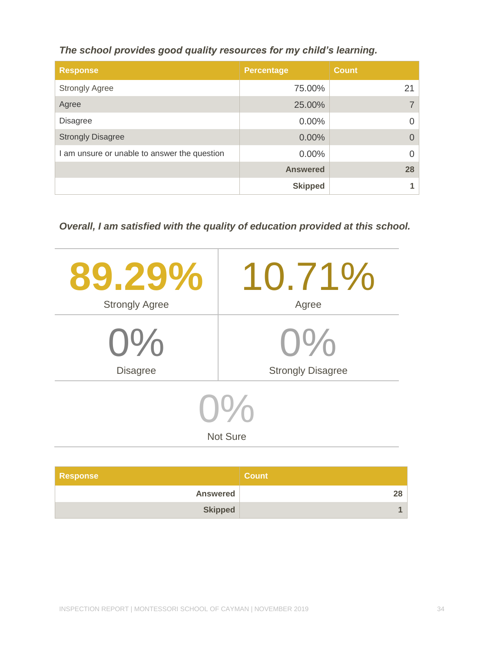*The school provides good quality resources for my child's learning.*

| <b>Response</b>                              | <b>Percentage</b> | <b>Count</b> |
|----------------------------------------------|-------------------|--------------|
| <b>Strongly Agree</b>                        | 75.00%            | 21           |
| Agree                                        | 25.00%            |              |
| <b>Disagree</b>                              | $0.00\%$          |              |
| <b>Strongly Disagree</b>                     | 0.00%             |              |
| I am unsure or unable to answer the question | $0.00\%$          |              |
|                                              | <b>Answered</b>   | 28           |
|                                              | <b>Skipped</b>    |              |

*Overall, I am satisfied with the quality of education provided at this school.*

| 89.29%                  | 10.71%                   |  |
|-------------------------|--------------------------|--|
| <b>Strongly Agree</b>   | Agree                    |  |
| $O\%$                   | $()$ %                   |  |
| <b>Disagree</b>         | <b>Strongly Disagree</b> |  |
| 10/2<br><b>Not Sure</b> |                          |  |
|                         |                          |  |

| <b>Response</b> | <b>Count</b> |
|-----------------|--------------|
| <b>Answered</b> |              |
| <b>Skipped</b>  |              |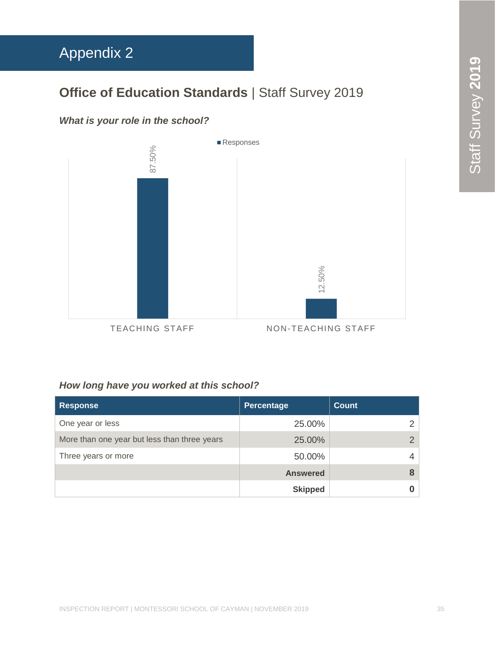## <span id="page-34-0"></span>Appendix 2

### **Office of Education Standards** | Staff Survey 2019

#### *What is your role in the school?*



#### *How long have you worked at this school?*

| <b>Response</b>                              | Percentage      | <b>Count</b> |
|----------------------------------------------|-----------------|--------------|
| One year or less                             | 25.00%          |              |
| More than one year but less than three years | 25.00%          |              |
| Three years or more                          | 50.00%          |              |
|                                              | <b>Answered</b> |              |
|                                              | <b>Skipped</b>  |              |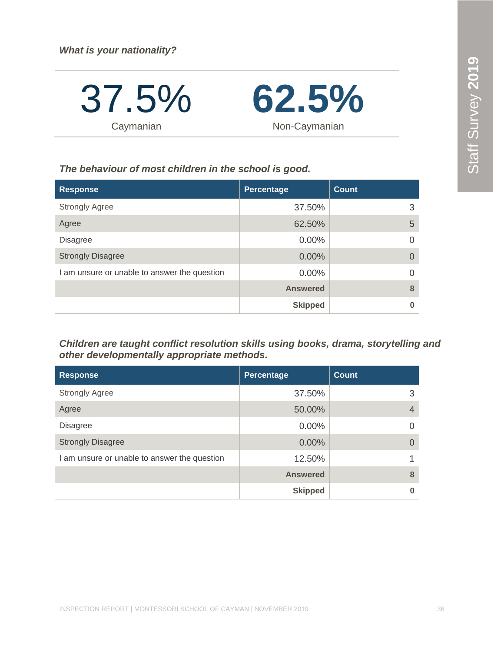37.5% **Caymanian** 



*The behaviour of most children in the school is good.*

| <b>Response</b>                              | Percentage      | <b>Count</b> |
|----------------------------------------------|-----------------|--------------|
| <b>Strongly Agree</b>                        | 37.50%          | 3            |
| Agree                                        | 62.50%          | 5            |
| <b>Disagree</b>                              | 0.00%           | $\Omega$     |
| <b>Strongly Disagree</b>                     | 0.00%           | $\Omega$     |
| I am unsure or unable to answer the question | $0.00\%$        | $\Omega$     |
|                                              | <b>Answered</b> | 8            |
|                                              | <b>Skipped</b>  | 0            |

*Children are taught conflict resolution skills using books, drama, storytelling and other developmentally appropriate methods.*

| <b>Response</b>                              | Percentage      | <b>Count</b> |
|----------------------------------------------|-----------------|--------------|
| <b>Strongly Agree</b>                        | 37.50%          | 3            |
| Agree                                        | 50.00%          |              |
| <b>Disagree</b>                              | $0.00\%$        |              |
| <b>Strongly Disagree</b>                     | 0.00%           |              |
| I am unsure or unable to answer the question | 12.50%          |              |
|                                              | <b>Answered</b> | 8            |
|                                              | <b>Skipped</b>  |              |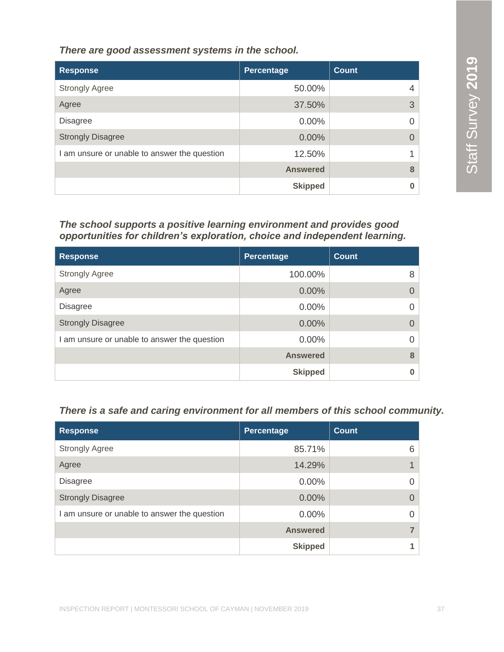*There are good assessment systems in the school.*

| <b>Response</b>                              | <b>Percentage</b> | <b>Count</b> |
|----------------------------------------------|-------------------|--------------|
| <b>Strongly Agree</b>                        | 50.00%            |              |
| Agree                                        | 37.50%            | 3            |
| <b>Disagree</b>                              | $0.00\%$          |              |
| <b>Strongly Disagree</b>                     | 0.00%             |              |
| I am unsure or unable to answer the question | 12.50%            |              |
|                                              | <b>Answered</b>   | 8            |
|                                              | <b>Skipped</b>    |              |

#### *The school supports a positive learning environment and provides good opportunities for children's exploration, choice and independent learning.*

| <b>Response</b>                              | Percentage      | <b>Count</b> |
|----------------------------------------------|-----------------|--------------|
| <b>Strongly Agree</b>                        | 100.00%         | 8            |
| Agree                                        | 0.00%           |              |
| <b>Disagree</b>                              | $0.00\%$        | O            |
| <b>Strongly Disagree</b>                     | 0.00%           |              |
| I am unsure or unable to answer the question | 0.00%           | 0            |
|                                              | <b>Answered</b> | 8            |
|                                              | <b>Skipped</b>  |              |

#### *There is a safe and caring environment for all members of this school community.*

| <b>Response</b>                              | Percentage      | <b>Count</b> |
|----------------------------------------------|-----------------|--------------|
| <b>Strongly Agree</b>                        | 85.71%          | 6            |
| Agree                                        | 14.29%          |              |
| <b>Disagree</b>                              | 0.00%           |              |
| <b>Strongly Disagree</b>                     | 0.00%           |              |
| I am unsure or unable to answer the question | 0.00%           |              |
|                                              | <b>Answered</b> |              |
|                                              | <b>Skipped</b>  |              |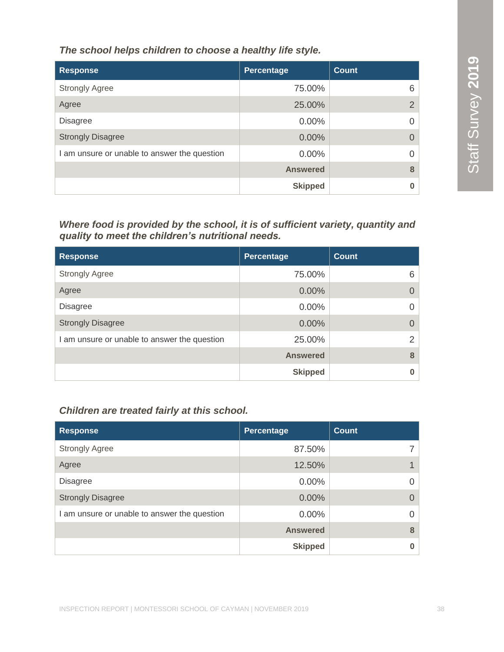*The school helps children to choose a healthy life style.*

| <b>Response</b>                              | Percentage      | <b>Count</b>   |
|----------------------------------------------|-----------------|----------------|
| <b>Strongly Agree</b>                        | 75.00%          | 6              |
| Agree                                        | 25.00%          | $\overline{2}$ |
| <b>Disagree</b>                              | 0.00%           |                |
| <b>Strongly Disagree</b>                     | 0.00%           |                |
| I am unsure or unable to answer the question | $0.00\%$        |                |
|                                              | <b>Answered</b> | 8              |
|                                              | <b>Skipped</b>  |                |

*Where food is provided by the school, it is of sufficient variety, quantity and quality to meet the children's nutritional needs.* 

| <b>Response</b>                              | Percentage      | <b>Count</b>  |
|----------------------------------------------|-----------------|---------------|
| <b>Strongly Agree</b>                        | 75.00%          | 6             |
| Agree                                        | 0.00%           |               |
| <b>Disagree</b>                              | $0.00\%$        |               |
| <b>Strongly Disagree</b>                     | 0.00%           | $\Omega$      |
| I am unsure or unable to answer the question | 25.00%          | $\mathcal{P}$ |
|                                              | <b>Answered</b> | 8             |
|                                              | <b>Skipped</b>  |               |

#### *Children are treated fairly at this school.*

| <b>Response</b>                              | Percentage      | <b>Count</b> |
|----------------------------------------------|-----------------|--------------|
| <b>Strongly Agree</b>                        | 87.50%          |              |
| Agree                                        | 12.50%          |              |
| <b>Disagree</b>                              | 0.00%           | 0            |
| <b>Strongly Disagree</b>                     | 0.00%           | $\Omega$     |
| I am unsure or unable to answer the question | 0.00%           | 0            |
|                                              | <b>Answered</b> | 8            |
|                                              | <b>Skipped</b>  |              |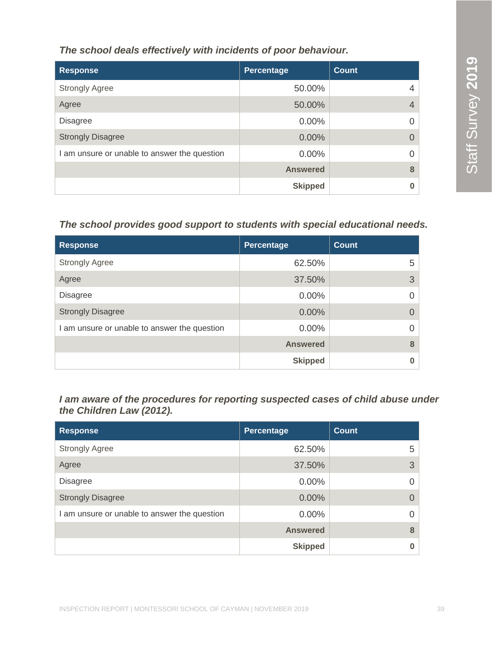*The school deals effectively with incidents of poor behaviour.*

| <b>Response</b>                              | Percentage      | <b>Count</b> |
|----------------------------------------------|-----------------|--------------|
| <b>Strongly Agree</b>                        | 50.00%          |              |
| Agree                                        | 50.00%          | 4            |
| <b>Disagree</b>                              | $0.00\%$        |              |
| <b>Strongly Disagree</b>                     | 0.00%           | $\Omega$     |
| I am unsure or unable to answer the question | $0.00\%$        |              |
|                                              | <b>Answered</b> | 8            |
|                                              | <b>Skipped</b>  |              |

#### *The school provides good support to students with special educational needs.*

| <b>Response</b>                              | <b>Percentage</b> | <b>Count</b> |
|----------------------------------------------|-------------------|--------------|
| <b>Strongly Agree</b>                        | 62.50%            | 5            |
| Agree                                        | 37.50%            | 3            |
| <b>Disagree</b>                              | $0.00\%$          |              |
| <b>Strongly Disagree</b>                     | 0.00%             |              |
| I am unsure or unable to answer the question | 0.00%             |              |
|                                              | <b>Answered</b>   | 8            |
|                                              | <b>Skipped</b>    |              |

*I am aware of the procedures for reporting suspected cases of child abuse under the Children Law (2012).*

| <b>Response</b>                              | <b>Percentage</b> | <b>Count</b> |
|----------------------------------------------|-------------------|--------------|
| <b>Strongly Agree</b>                        | 62.50%            | 5.           |
| Agree                                        | 37.50%            | 3            |
| <b>Disagree</b>                              | 0.00%             | 0            |
| <b>Strongly Disagree</b>                     | 0.00%             | 0            |
| I am unsure or unable to answer the question | 0.00%             | 0            |
|                                              | <b>Answered</b>   | 8            |
|                                              | <b>Skipped</b>    |              |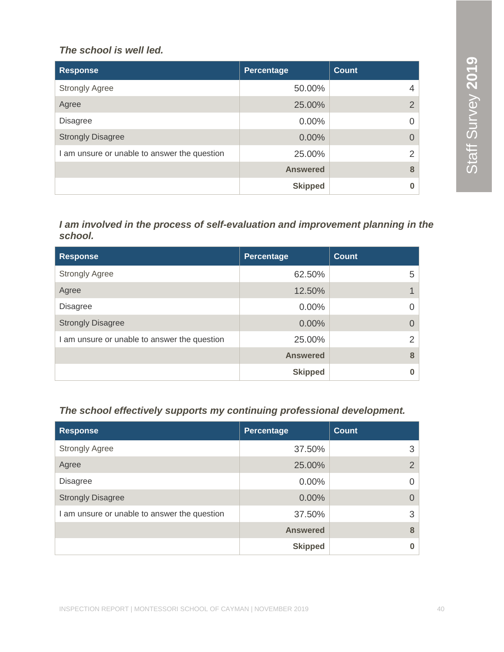#### *The school is well led.*

| <b>Response</b>                              | Percentage      | Count         |
|----------------------------------------------|-----------------|---------------|
| <b>Strongly Agree</b>                        | 50.00%          | 4             |
| Agree                                        | 25.00%          | 2             |
| <b>Disagree</b>                              | $0.00\%$        | $\Omega$      |
| <b>Strongly Disagree</b>                     | $0.00\%$        | $\Omega$      |
| I am unsure or unable to answer the question | 25.00%          | $\mathcal{P}$ |
|                                              | <b>Answered</b> | 8             |
|                                              | <b>Skipped</b>  | 0             |

#### *I am involved in the process of self-evaluation and improvement planning in the school.*

| <b>Response</b>                              | <b>Percentage</b> | <b>Count</b> |
|----------------------------------------------|-------------------|--------------|
| <b>Strongly Agree</b>                        | 62.50%            | 5            |
| Agree                                        | 12.50%            |              |
| <b>Disagree</b>                              | $0.00\%$          |              |
| <b>Strongly Disagree</b>                     | 0.00%             |              |
| I am unsure or unable to answer the question | 25.00%            | っ            |
|                                              | <b>Answered</b>   | 8            |
|                                              | <b>Skipped</b>    |              |

#### *The school effectively supports my continuing professional development.*

| <b>Response</b>                              | Percentage      | <b>Count</b>   |
|----------------------------------------------|-----------------|----------------|
| <b>Strongly Agree</b>                        | 37.50%          | 3              |
| Agree                                        | 25.00%          | $\overline{2}$ |
| <b>Disagree</b>                              | $0.00\%$        | $\Omega$       |
| <b>Strongly Disagree</b>                     | $0.00\%$        | $\Omega$       |
| I am unsure or unable to answer the question | 37.50%          | 3              |
|                                              | <b>Answered</b> | 8              |
|                                              | <b>Skipped</b>  | 0              |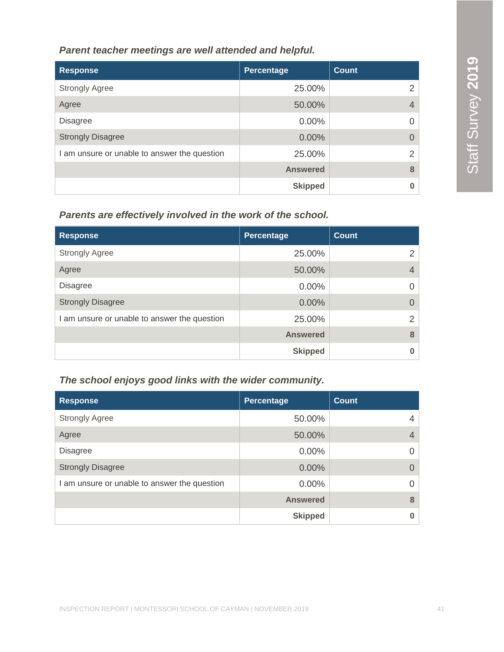#### *Parent teacher meetings are well attended and helpful.*

| <b>Response</b>                              | Percentage      | <b>Count</b>  |
|----------------------------------------------|-----------------|---------------|
| <b>Strongly Agree</b>                        | 25.00%          | 2             |
| Agree                                        | 50.00%          | 4             |
| <b>Disagree</b>                              | $0.00\%$        |               |
| <b>Strongly Disagree</b>                     | 0.00%           |               |
| I am unsure or unable to answer the question | 25.00%          | $\mathcal{L}$ |
|                                              | <b>Answered</b> | 8             |
|                                              | <b>Skipped</b>  |               |

#### *Parents are effectively involved in the work of the school.*

| <b>Response</b>                              | Percentage      | Count          |
|----------------------------------------------|-----------------|----------------|
| <b>Strongly Agree</b>                        | 25.00%          | 2              |
| Agree                                        | 50.00%          | $\overline{4}$ |
| <b>Disagree</b>                              | $0.00\%$        | $\Omega$       |
| <b>Strongly Disagree</b>                     | $0.00\%$        | $\Omega$       |
| I am unsure or unable to answer the question | 25.00%          | $\mathcal{P}$  |
|                                              | <b>Answered</b> | 8              |
|                                              | <b>Skipped</b>  | O              |

#### *The school enjoys good links with the wider community.*

| <b>Response</b>                              | Percentage      | <b>Count</b>   |
|----------------------------------------------|-----------------|----------------|
| <b>Strongly Agree</b>                        | 50.00%          | 4              |
| Agree                                        | 50.00%          | $\overline{4}$ |
| <b>Disagree</b>                              | $0.00\%$        | $\Omega$       |
| <b>Strongly Disagree</b>                     | $0.00\%$        | $\Omega$       |
| I am unsure or unable to answer the question | $0.00\%$        | $\Omega$       |
|                                              | <b>Answered</b> | 8              |
|                                              | <b>Skipped</b>  | 0              |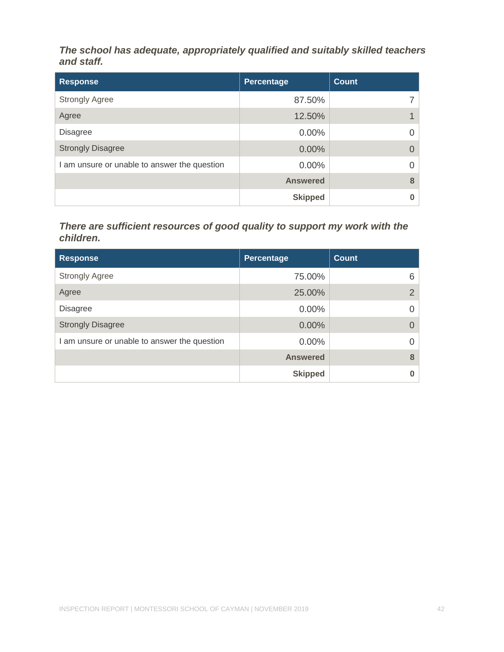*The school has adequate, appropriately qualified and suitably skilled teachers and staff.*

| <b>Response</b>                              | Percentage      | <b>Count</b> |
|----------------------------------------------|-----------------|--------------|
| <b>Strongly Agree</b>                        | 87.50%          |              |
| Agree                                        | 12.50%          |              |
| <b>Disagree</b>                              | $0.00\%$        | 0            |
| <b>Strongly Disagree</b>                     | 0.00%           |              |
| I am unsure or unable to answer the question | 0.00%           | 0            |
|                                              | <b>Answered</b> | 8            |
|                                              | <b>Skipped</b>  |              |

#### *There are sufficient resources of good quality to support my work with the children.*

| <b>Response</b>                              | <b>Percentage</b> | <b>Count</b>   |
|----------------------------------------------|-------------------|----------------|
| <b>Strongly Agree</b>                        | 75.00%            | 6              |
| Agree                                        | 25.00%            | $\overline{2}$ |
| <b>Disagree</b>                              | 0.00%             |                |
| <b>Strongly Disagree</b>                     | 0.00%             |                |
| I am unsure or unable to answer the question | 0.00%             |                |
|                                              | <b>Answered</b>   | 8              |
|                                              | <b>Skipped</b>    |                |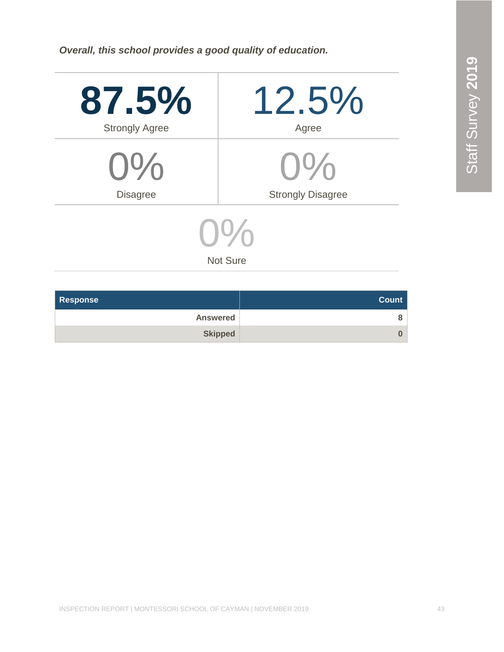*Overall, this school provides a good quality of education.*

| 87.5%                 | $12.5\%$                 |
|-----------------------|--------------------------|
| <b>Strongly Agree</b> | Agree                    |
| $0\%$                 | $O\%$                    |
| <b>Disagree</b>       | <b>Strongly Disagree</b> |
| $\mathbf{D}$          |                          |

Not Sure

| <b>Response</b> | <b>Count</b> |
|-----------------|--------------|
| <b>Answered</b> | 8            |
| <b>Skipped</b>  | 0            |